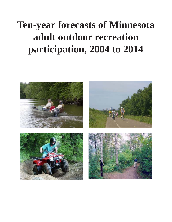# **Ten-year forecasts of Minnesota adult outdoor recreation participation, 2004 to 2014**

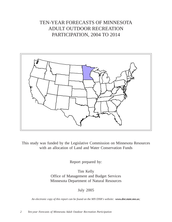# TEN-YEAR FORECASTS OF MINNESOTA ADULT OUTDOOR RECREATION PARTICIPATION, 2004 TO 2014



This study was funded by the Legislative Commission on Minnesota Resources with an allocation of Land and Water Conservation Funds

Report prepared by:

Tim Kelly Office of Management and Budget Services Minnesota Department of Natural Resources

July 2005

*An electronic copy of this report can be found on the MN DNR's website: www.dnr.state.mn.us;*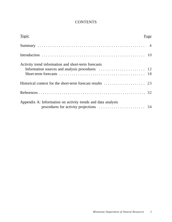## **CONTENTS**

| <b>Topic</b>                                                 | Page |
|--------------------------------------------------------------|------|
|                                                              |      |
|                                                              |      |
| Activity trend information and short-term forecasts          |      |
|                                                              |      |
|                                                              |      |
| Appendix A: Information on activity trends and data analysis |      |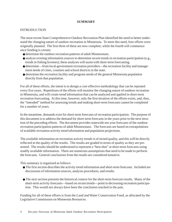#### **SUMMARY**

#### INTRODUCTION

The most recent State Comprehensive Outdoor Recreation Plan identified the need to better understand the changing nature of outdoor recreation in Minnesota. To meet this need, four efforts were originally planned. The first three of these are now complete, while the fourth will commence once funding is certain:

- determine the outdoor recreation patterns of adult Minnesotans.
- analyze existing information sources to determine recent trends in recreation participation (e.g., trends in fishing licenses); these analyses will assist with short-term forecasting.
- determine—from local-government recreation providers—the recreation facility and management needs of cities, counties and school districts in the state.
- determine the recreation facility and program needs of the general Minnesota population directly from that population.

For all of these efforts, the intent is to design a cost-effective methodology that can be repeated every five years. Repetitions of the efforts will monitor the changing nature of outdoor recreation in Minnesota, and will create trend information that can be analyzed and applied in short-term recreation forecasting. At this time, however, only the first iteration of the efforts exists, and, thus, the "intended" method for assessing trends and making short-term forecasts cannot be completed for a number of years.

In the meantime, demands exist for short-term forecasts of recreation participation. The purpose of this document is to address the demand for short-term forecasts in the years prior to the next iteration of the preceding efforts. The document provides statewide ten-year forecasts of the outdoor recreation participation patterns of adult Minnesotans. The forecasts are based on extrapolations of available recreation activity trend information and population projections.

The available information on recreation activity trends is of mixed quality, and this will be directly reflected in the quality of the results. The results are graded in terms of quality as they are presented. The results should be understood to represent a "best shot" at short-term forecasts using readily available information. There are numerous assumptions that need to be made to perform the forecasts. General conclusions from the results are considered tentative.

This summary is organized as follows:

- The first section describes the activity trend information and short-term forecasts. Included are discussions of information sources, analysis procedures, and results.
- The next section presents the historical context for the short-term forecast results. Many of the short-term activity forecasts—based on recent trends—point to decreasing recreation participation. This would not always have been the conclusion reached in the past.

Funding for all of these efforts is from the Land and Water Conservation Fund, as allocated by the Legislative Commission on Minnesota Resources.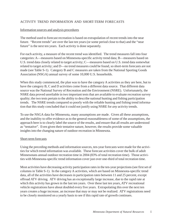#### ACTIVITY TREND INFORMATION AND SHORT-TERM FORECASTS

#### Information sources and analysis procedures

The method used to forecast recreation is based on extrapolation of recent trends into the near future. "Recent trends" are over the last ten years (or some period close to that) and the "near future" is the next ten years. Each activity is done separately.

For each activity, a measure of the recent trend was identified. The trend measures fall into four categories: A—measures based on Minnesota-specific activity trend data; B—measures based on U.S. trend data closely related to target activity; C—measures based on U.S. trend data somewhat related to target activity; and D—no trend measures could be found, so short-term forecasts are not made (see Table S-1). Category B and C measures are taken from the National Sporting Goods Association (NSGA) annual survey of some 10,000 U.S. households.

When this study commenced, the plan was to have the category A activities as they are here, but to have the category B, C and D activities come from a different data source. That different data source was the National Survey of Recreation and the Environment (NSRE). Unfortunately, the NSRE data proved unreliable in two important tests that are available to evaluate recreation survey quality; the two tests pertain to the ability to describe national hunting and fishing participation trends. The NSRE trends compared so poorly with the reliable hunting and fishing trend information that this study concluded that it could not justify using NSRE for *any* activity trends.

To use the NSGA data for Minnesota, many assumptions are made. Given all these assumptions, and the inability to offer evidence as to the general reasonableness of some of the assumptions, the approach here is to clearly label the source of the results, and ensure that all results are understood as "tentative". Even given their tentative nature, however, the results provide some valuable insights into the changing nature of outdoor recreation in Minnesota.

#### Short-term forecasts

Using the preceding methods and information sources, ten-year forecasts were made for the activities for which trend information was available. These forecast activities cover the bulk of adult Minnesotans annual outdoor recreation time in 2004 (83% of total recreation time). Those activities with Minnesota-specific trend information cover just over one-third of total recreation time.

Most activities have decreasing activity participation rates in the ten-year projections (see first set of columns in Table S-1). In the category A activities, which are based on Minnesota-specific trend data, all of the activities have decreases in participation rates between 11 and 25 percent, except offroad ATV driving. ATV driving has an exceptionally large increase, due to the rapid rate at which this activity has grown in the last ten years. Over these last ten years, ATV recreational vehicle registrations have about doubled every five years. Extrapolating this over the next ten years creates a huge increase, an increase that may or may not be realized. ATV registrations need to be closely monitored on a yearly basis to see if this rapid rate of growth continues.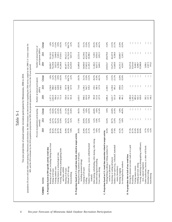Table S-1 Table S-1

Ten-year projections of annual outdoor recreation participation by Minnesotans, 2004 to 2014 Ten-year projections of annual outdoor recreation participation by Minnesotans, 2004 to 2014

|                                                                                | Percent of population participating | amually  |                   |         | Number of annual participants<br>(000s) |                 |                             |           | Number of annual hours of<br>participation (000's) |
|--------------------------------------------------------------------------------|-------------------------------------|----------|-------------------|---------|-----------------------------------------|-----------------|-----------------------------|-----------|----------------------------------------------------|
| Activity<br>Category                                                           | 2004                                | 2014     | Change            | 2004    | 2014                                    | Change          | 2004                        |           | 2014                                               |
| data<br>A. Projections based on MN-specific activity trend                     |                                     |          |                   |         |                                         |                 |                             |           |                                                    |
| Boating of all types, excluding fishing from a boat                            | 35.5%                               | 31.4%    | $-11.5%$          | 1,237.3 | 1,258.9                                 | $1.8\%$         | 58,099.7                    | 59,118.5  |                                                    |
| Fishing of all types                                                           | 30.2%                               | 24.7%    | $-18.4%$          | 1,053.9 | 988.3                                   | $-6.2%$         | 76,239.8                    | 71,497.6  |                                                    |
| Visiting outdoor zoos                                                          | 27.5%                               | 20.7%    | $-24.7%$          | 956.6   | 828.1                                   | $-13.4%$        | 5,822.6                     | 5,040.9   |                                                    |
| Visiting historic or archaeological sites                                      | 20.7%                               | 16.2%    | $-21.6%$          | 721.1   | 649.8                                   | $-9.9%$         | 6,198.6                     | 5,585.5   |                                                    |
| Viewing, identifying or photographing birds                                    | 20.4%                               | 15.9%    | $-22.0%$          | 711.9   | 638.5                                   | $-10.3%$        | 11,266.8                    | 37,010.1  |                                                    |
| and other wildlife                                                             |                                     |          |                   |         |                                         |                 |                             |           |                                                    |
| Hunting of all types                                                           | 16.0%                               | 14.2%    | $-11.2%$          | 556.0   | 567.8                                   | 2.1%            | 48,187.7                    | 49,212.3  |                                                    |
| Offroad ATV driving                                                            | 10.3%                               | 36.1%    | 251.9%            | 357.3   | 1,446.0                                 | 304.7%          | 15,262.4                    | 61,762.0  |                                                    |
| Snowmobiling                                                                   | 9.8%                                | 8.2%     | $-16.8%$          | 341.8   | 327.0                                   | $-4.3%$         | 10,259.9                    | 9,817.0   |                                                    |
| B. Projections based on U.S. trend data closely related to target activity     |                                     |          |                   |         |                                         |                 |                             |           |                                                    |
| Biking (bicycling outdoors of all types,                                       | 29.0%                               | $17.8\%$ | $-38.5%$          | 1,010.5 | 714.6                                   | $-29.3%$        | 31,889.8                    | 22,551.6  |                                                    |
| including mountain biking)                                                     |                                     |          |                   |         |                                         |                 |                             |           |                                                    |
| Camping of all types                                                           | 25.8%                               | 29.9%    | 15.8%             | 898.5   | 1,196.1                                 | 33.1%           | 34,060.0                    | 45,339.6  |                                                    |
| Golfing                                                                        | 23.5%                               | 23.5%    | 0.0%              | 819.9   | 942.7                                   | 15.0%           | 37,063.2                    | 42,615.8  |                                                    |
| Outdoor field sports (e.g., soccer, softball/baseball                          | 21.1%                               | 16.0%    | $-24.5%$          | 736.6   | 639.3                                   | $-13.2%$        | 21,185.3                    | 18,388.2  |                                                    |
| football)                                                                      |                                     |          |                   |         |                                         |                 |                             |           |                                                    |
| Inline skating, rollerblading, roller skating, roller skiing                   | 11.3%                               | 6.2%     | $-44.8%$          | 393.8   | 250.1                                   | $-36.5%$        | 11,384.3                    | 7,228.5   |                                                    |
| Downhill skiing/snowboarding                                                   | 9.0%                                | 9.0%     | 0.0%              | 313.4   | 360.3                                   | 15.0%           | 8,657.5                     | 9,954.5   |                                                    |
| Cross country skiing                                                           | 6.5%                                | 3.2%     | $-51.4%$          | 227.0   | 127.0                                   | -44.1%          | 3,669.1                     | 2,052.3   |                                                    |
| related to target activity<br>C. Projections based on U.S. trend data somewhat |                                     |          |                   |         |                                         |                 |                             |           |                                                    |
| Walking/hiking (walking or hiking outdoors for<br>exercise or pleasure)        | 54.4%                               | 54.4%    | 0.0%              | 1,896.4 | 2,180.5                                 | 15.0%           | 129,654.7                   | 149,078.8 |                                                    |
| Swimming or wading (all places)                                                | 40.8%                               | 30.7%    | $-24.8%$          | 1,422.7 | 1,230.4                                 | $-13.5%$        | 53,475.5                    | 46,247.8  |                                                    |
| Outdoor court sports (e.g., volleyball, basketball                             | 17.6%                               | 12.0%    | $-31.6%$          | 611.8   | 481.3                                   | $-21.3%$        | 11,669.9                    | 9,180.9   |                                                    |
| tennis, horseshoes)                                                            |                                     |          |                   |         |                                         |                 |                             |           |                                                    |
| Running or jogging                                                             | 14.2%                               | 15.2%    | $6.8%$<br>-40.9%  | 496.5   | 609.6                                   | 22.8%<br>-32.0% | 24,331.5                    | 29,869.7  |                                                    |
| Ice skating/hockey outdoors                                                    | 11.5%                               | 6.8%     |                   | 401.5   | 272.9                                   |                 | 4,918.7                     | 3,343.1   |                                                    |
| D. No projections due to lack of any trend data                                |                                     |          |                   |         |                                         |                 |                             |           |                                                    |
| a park<br>Driving for pleasure on scenic roads or in                           | 37.3%                               |          | $\vert \ \ \vert$ | 1,300.0 | ł                                       | Ħ               | 33,472.8                    |           |                                                    |
| Picnicking                                                                     | 35.7%                               | ÷        |                   | 1,245.3 | ÷                                       |                 | 35,914.0                    | ÷         |                                                    |
| Visiting nature centers                                                        | 25.4%                               | ÷        | ÷                 | 883.6   | ÷                                       | ÷               | 8,440.1                     | ÷         |                                                    |
| Sledding and snow tubing                                                       | 18.4%                               | ÷        | ÷                 | 642.1   | ÷                                       | ÷               | 4,998.7                     | ÷         |                                                    |
| Viewing, identifying or photographing wildflowers,                             | 18.0%                               | H        | ÷                 | 628.9   | ÷                                       | ÷               | 35,988.8                    | ÷         |                                                    |
| trees, natural vegetation                                                      |                                     |          |                   |         |                                         |                 |                             |           |                                                    |
| foods<br>Gather mushrooms, berries, or other wild                              | 8.7%                                | ÷        | $\mathbf{1}$      | 302.1   | Ť                                       | $\mathbf{1}$    | 5,090.1<br>2,567.3<br>974.3 | ł         |                                                    |
| Horseback riding                                                               | 4.5%                                | ÷        |                   | 157.1   | ÷                                       |                 |                             | ÷         |                                                    |
| Snowshoeing                                                                    | 4.2%                                | -l       |                   | 146.2   | -i                                      |                 |                             | ÷         |                                                    |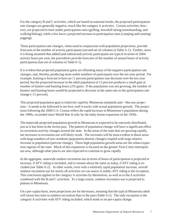For the category B and C activities, which are based on national trends, the projected participation rate changes are generally negative, much like the category A activities. Certain activities, however, are projected to have stable participation rates (golfing, downhill skiing/snowboarding, and walking/hiking), while a few have a projected increase in participation rates (camping and running/ jogging).

These participation rate changes, when used in conjunction with population projections, provide forecasts of the number of activity participants (second set of columns in Table S-1). Further, since it is being assumed that added (and subtracted) activity participants are typical in terms of 2004 activity hours per year, the procedures provide forecasts of the number of annual hours of activity participation (last set of columns in Table S-1).

It is evident that projected population gains are offsetting many of the negative participation rate changes, and, thereby, producing more stable numbers of participants over the ten-year period. For example, hunting is forecast to have an 11 percent participation-rate decrease over the ten-year period, but the projected increase in the adult population of 15 percent produces a small gain in number of hunters and hunting hours (2% gain). If the population was not growing, the number of hunters and hunting hours would be projected to decrease at the same rate as the participation rate change (-11 percent).

This projected population gain is relatively rapid by Minnesota standards and—like any projection—it needs to be followed to see how well it tracks with actual population growth. The projections following the 2000 U.S. Census reflect the rapid increase in Minnesota's population during the 1990s, exceeded since World War II only by the baby-boom expansion of the 1950s .

The statewide projected population growth in Minnesota is expected to be unevenly distributed, just as it has been in the recent past. The pattern of population change will have a significant effect on recreation activity changes around the state. In the areas of the state that are growing rapidly, net increases in recreation use will likely result. The increases will be most evident in those areas with large numbers of new residents (population density change) coupled with large relative increase in population (percent change). These high population growth areas are the urban expansion regions of the state. Much of this expansion is focused on the greater Twin Cities metropolitan area, although other places are also expected to continue to grow rapidly.

In the aggregate, statewide outdoor recreation use in terms of hours of participation is projected to increase, if ATV riding is included, and to remain about the same as today, if ATV riding is excluded (see Table S-2). In other words, even with a relatively rapid population increase, overall outdoor recreation use for nearly all activities we can assess is stable; ATV riding is the exception. This conclusion applies to the category A activities by themselves, as well as to the A activities combined with the B and C activities. To a large extent, outdoor recreation use is projected to plateau in Minnesota.

On a per-capita basis, most projections are for decreases, meaning that the typical Minnesota adult will invest less time in outdoor recreation than in the past (Table S-2). The only exception is the category A activities with ATV riding included, which leads to no per-capita change.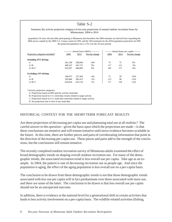| (population 20 years old and older participating in Minnesota and elsewhere; the 2004 estimates are derived from expanding the<br>2004 survey sample by the 2000 U.S. Census counts for MN, and the 2014 estimates by the 2010 population projections for MN; |         |         | the projected population rise is 15% over the 10-year period) |      |      |                                            |
|---------------------------------------------------------------------------------------------------------------------------------------------------------------------------------------------------------------------------------------------------------------|---------|---------|---------------------------------------------------------------|------|------|--------------------------------------------|
|                                                                                                                                                                                                                                                               |         |         | ----------- Annual hours $(000's)$ -----------                |      |      | -------- Annual hours per capita --------- |
| Projection categories included*                                                                                                                                                                                                                               | 2004    | 2014    | Percent change                                                | 2004 | 2014 | Percent change                             |
| <b>Including ATV driving:</b>                                                                                                                                                                                                                                 |         |         |                                                               |      |      |                                            |
| A                                                                                                                                                                                                                                                             | 261,338 | 299,044 | 14%                                                           | 75   | 75   | 0%                                         |
| $A + B$                                                                                                                                                                                                                                                       | 409,247 | 447,175 | 9%                                                            | 117  | 112  | $-5%$                                      |
| $A+B+C$                                                                                                                                                                                                                                                       | 633.297 | 684.895 | 8%                                                            | 182  | 171  | $-6%$                                      |
| <b>Excluding ATV</b> driving:                                                                                                                                                                                                                                 |         |         |                                                               |      |      |                                            |
| A                                                                                                                                                                                                                                                             | 246,075 | 237,282 | $-4%$                                                         | 71   | 59   | $-16%$                                     |
| $A + B$                                                                                                                                                                                                                                                       | 393,984 | 385,413 | $-2%$                                                         | 113  | 96   | $-15%$                                     |
| $A+B+C$                                                                                                                                                                                                                                                       | 618,034 | 623,133 | $1\%$                                                         | 177  | 156  | $-12%$                                     |
|                                                                                                                                                                                                                                                               |         |         |                                                               |      |      |                                            |

#### HISTORICAL CONTEXT FOR THE SHORT-TERM FORECAST RESULTS

Are these projections of decreasing per-capita use and plateauing total use at all realistic? The careful answer to this question—given the basis upon which the projections are made—is that these conclusions are tentative and will remain tentative until move evidence becomes available in the future. At this time, there are further pieces and parts of corroborating information that point in the direction of decreasing per-capita use. These pieces and parts add to the strength of the conclusions, but the conclusions still remain tentative.

The recently completed outdoor recreation survey of Minnesota adults examined the effect of broad demographic trends on shaping overall outdoor recreation use. For many of the demographic trends, the associated recreation trend is less overall use per capita. Take age as an example. In 2004, the pattern is one of decreasing recreation use as people age. And since the population is aging, the effect of the aging population is less overall use on a per-capita basis.

The conclusion to be drawn from these demographic trends is *not* that those demographic trends associated with less use per capita will in fact predominate over those associated with more use, and there are some of the latter. The conclusion to be drawn is that less overall use per capita should not be an unexpected outcome.

In addition, there is evidence at the national level for a generational shift in certain activities that leads to less activity involvement on a per-capita basis. The wildlife-related activities (fishing,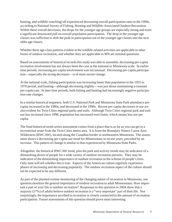hunting, and wildlife-watching) all experienced decreasing overall participation rates in the 1990s, according to National Survey of Fishing, Hunting and Wildlife-Associated Outdoor Recreation. Within these overall decreases, the drops for the younger age groups are especially strong and exert a significant downward pull on overall population participation. The drop in the younger age classes was sufficient to shift the peak in participation out of the younger age classes into the next older age classes.

Whether these age-class patterns evident in the wildlife-related activities are applicable to other forms of outdoor recreation, and whether they are applicable in MN are seminal questions.

Based on assessments of historical records this study was able to assemble, decreasing per-capita recreation involvement has not always been the case at the national or Minnesota scale. In earlier time periods, increasing per-capita involvement was not unusual. Decreasing per-capita participation—especially the strong decreases—is of more recent vintage.

At the national scale, fishing participation was increasing faster than population in the 1955 to 1970 period, and hunting—although decreasing slightly—was just about maintaining a constant per-capita rate. In later time periods, both fishing and hunting had increasingly negative participation-rate changes.

In a similar historical sequence, both U.S. National Park and Minnesota State Park attendance percapita increased in the 1980s, and decreased in the 1990s. Recent per-capita decreases in use are also evident for Twin Cities regional parks and trails. Although Twin Cities regional park and trail use has increased since 1998, population has increased even faster, which means less use per capita.

The final historical trend-series assessment comes from a place that is as far as you can get in a recreational sense from the Twin Cities metro area. It is from the Boundary Waters Canoe Area Wilderness (BWCAW), located along the Canadian border in northeastern Minnesota. The assessment shows a decreasing per-capita use trend for Minnesotans in recent years, preceded by an increase. This pattern of change is similar to that experienced by Minnesota State Parks.

Altogether, the historical BWCAW trend, plus the park and activity trends may be indicative of a diminishing desire of people for a wide variety of outdoor recreation pursuits. They may be indicative of the diminishing importance of outdoor recreation in the scheme of people's lives. Only time will tell whether this is true. Aspects of the American culture regularly experience phases of increasing and decreasing popularity. The outdoor recreation aspect of the culture should not be expected to be any different.

As part of the planned routine monitoring of the changing nature of recreation in Minnesota, one question monitors the general importance of outdoor recreation to adult Minnesotans: How important a part of your life is outdoor recreation? Responses to this question in 2004 show that a majority (57%) of adults believe outdoor recreation is a "very important" part of their life. Not surprisingly, the importance ascribed to recreation is closely connected to the amount of recreation participation. Future assessments of this question should prove most interesting.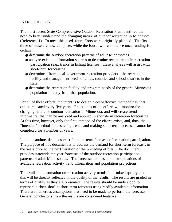## INTRODUCTION

The most recent State Comprehensive Outdoor Recreation Plan identified the need to better understand the changing nature of outdoor recreation in Minnesota (Reference 1). To meet this need, four efforts were originally planned. The first three of these are now complete, while the fourth will commence once funding is certain:

- determine the outdoor recreation patterns of adult Minnesotans.
- analyze existing information sources to determine recent trends in recreation participation (e.g., trends in fishing licenses); these analyses will assist with short-term forecasting.
- determine—from local-government recreation providers—the recreation facility and management needs of cities, counties and school districts in the state.
- determine the recreation facility and program needs of the general Minnesota population directly from that population.

For all of these efforts, the intent is to design a cost-effective methodology that can be repeated every five years. Repetitions of the efforts will monitor the changing nature of outdoor recreation in Minnesota, and will create trend information that can be analyzed and applied in short-term recreation forecasting. At this time, however, only the first iteration of the efforts exists, and, thus, the "intended" method for assessing trends and making short-term forecasts cannot be completed for a number of years.

In the meantime, demands exist for short-term forecasts of recreation participation. The purpose of this document is to address the demand for short-term forecasts in the years prior to the next iteration of the preceding efforts. The document provides statewide ten-year forecasts of the outdoor recreation participation patterns of adult Minnesotans. The forecasts are based on extrapolations of available recreation activity trend information and population projections.

The available information on recreation activity trends is of mixed quality, and this will be directly reflected in the quality of the results. The results are graded in terms of quality as they are presented. The results should be understood to represent a "best shot" at short-term forecasts using readily available information. There are numerous assumptions that need to be made to perform the forecasts. General conclusions from the results are considered tentative.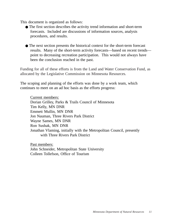This document is organized as follows:

- The first section describes the activity trend information and short-term forecasts. Included are discussions of information sources, analysis procedures, and results.
- The next section presents the historical context for the short-term forecast results. Many of the short-term activity forecasts—based on recent trends point to decreasing recreation participation. This would not always have been the conclusion reached in the past.

Funding for all of these efforts is from the Land and Water Conservation Fund, as allocated by the Legislative Commission on Minnesota Resources.

The scoping and planning of the efforts was done by a work team, which continues to meet on an ad hoc basis as the efforts progress:

Current members: Dorian Grilley, Parks & Trails Council of Minnesota Tim Kelly, MN DNR Emmett Mullin, MN DNR Jon Nauman, Three Rivers Park District Wayne Sames, MN DNR Ron Sushak, MN DNR Jonathan Vlaming, initially with the Metropolitan Council, presently with Three Rivers Park District

Past members: John Schneider, Metropolitan State University Colleen Tollefson, Office of Tourism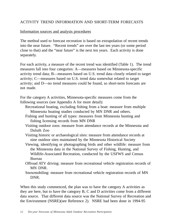## ACTIVITY TREND INFORMATION AND SHORT-TERM FORECASTS

#### Information sources and analysis procedures

The method used to forecast recreation is based on extrapolation of recent trends into the near future. "Recent trends" are over the last ten years (or some period close to that) and the "near future" is the next ten years. Each activity is done separately.

For each activity, a measure of the recent trend was identified (Table 1). The trend measures fall into four categories: A—measures based on Minnesota-specific activity trend data; B—measures based on U.S. trend data closely related to target activity; C—measures based on U.S. trend data somewhat related to target activity; and D—no trend measures could be found, so short-term forecasts are not made.

For the category A activities, Minnesota-specific measures come from the following sources (see Appendix A for more detail):

- Recreational boating, excluding fishing from a boat: measure from multiple Minnesota boating studies conducted by MN DNR and others.
- Fishing and hunting of all types: measures from Minnesota hunting and fishing licensing records from MN DNR
- Visiting outdoor zoos: measure from attendance records at the Minnesota and Duluth Zoo
- Visiting historic or archaeological sites: measure from attendance records at nine outdoor sites maintained by the Minnesota Historical Society
- Viewing, identifying or photographing birds and other wildlife: measure from the Minnesota data in the National Survey of Fishing, Hunting, and Wildlife-Associated Recreation, conducted by the USFWS and Census Bureau
- Offroad ATV driving: measure from recreational vehicle registration records of MN DNR.
- Snowmobiling: measure from recreational vehicle registration records of MN DNR.

When this study commenced, the plan was to have the category A activities as they are here, but to have the category B, C and D activities come from a different data source. That different data source was the National Survey of Recreation and the Environment (NSRE)(see Reference 2). NSRE had been done in 1994-95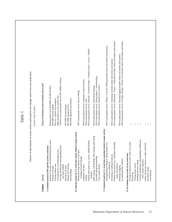|                                                                                                                                                               | Table 1                                                                                                                                                                                         |
|---------------------------------------------------------------------------------------------------------------------------------------------------------------|-------------------------------------------------------------------------------------------------------------------------------------------------------------------------------------------------|
|                                                                                                                                                               | Sources of information on recent activity participation rate changes used in ten-year projections<br>("recent" is last 10 years)                                                                |
| Activity<br>Category                                                                                                                                          | Source of information used to estimate activity trend                                                                                                                                           |
| Boating of all types, excluding fishing from a boat<br>A. Estimates based on MN-specific activity trend data<br>Visiting outdoor zoos<br>Fishing of all types | Boating studies from MN DNR and MN-WI BAC<br>MN Zoo + Duluth Zoo attendance<br>MN DNR licensed anglers                                                                                          |
| Viewing, identifying or photographing birds<br>Visiting historic or archaeological sites<br>and other wildlife                                                | USFWS survey participation rate for MN wildlife watching<br>MHS attendance at nine outdoor sites                                                                                                |
| Offroad ATV driving<br>Hunting of all types<br>Snowmobiling                                                                                                   | MN DNR registered snowmobiles<br>MN DNR registered ATVs<br>MN DNR licensed hunters                                                                                                              |
| to target activity<br>B. Estimates based on U.S. trend data closely related<br>Biking (bicycling outdoors of all types,<br>including mountain biking)         | NSGA participation survey: Bicycle Riding                                                                                                                                                       |
| Outdoor field sports (e.g., soccer, softball/baseball<br>Camping of all types<br>Golfing                                                                      | NSGA participation survey: Baseball + Football (tackle) + Football (touch) + Soccer + Softball<br>NSGA participation survey: Camping (vacation/overnite)<br>NSGA participation survey: Golf     |
| roller skiing<br>Inline skating, rollerblading, roller skating,<br>Downhill skiing/snowboarding<br>Cross country skiing<br>football)                          | NSGA participation survey: Skiing (alpine) + Snowboarding<br>NSGA participation survey: Skiing (cross country)<br>NSGA participation survey: Inline Roller Skating                              |
| C. Estimates based on U.S. trend data somewhat related to target activity<br>Walking/hiking (walking or hiking outdoors for                                   | NSGA participation survey: Hiking + Exercise Walking (includes indoor and outdoor participants)                                                                                                 |
| Outdoor court sports (e.g., volleyball, basketball<br>Swimming or wading (all places)<br>exercise or pleasure)<br>tennis, horseshoes)                         | NSGA participation survey: Basketball + Tennis + Volleyball (includes indoor and outdoor participants)<br>NSGA participation survey: Swimming (includes indoor and outdoor participants)        |
| Ice skating/hockey outdoors<br>Running or jogging                                                                                                             | NSGA participation survey: Ice/Figure Skating + Hockey (ice) (includes indoor and outdoor participants<br>NSGA participation survey: Running/Jogging (includes indoor and outdoor participants) |
| park<br>Driving for pleasure on scenic roads or in a<br>D. No estimates due to lack of any trend data                                                         |                                                                                                                                                                                                 |
| Visiting nature centers<br>Picnicking                                                                                                                         | ÷<br>÷                                                                                                                                                                                          |
| Viewing, identifying or photographing wildflowers,<br>Sledding and snow tubing                                                                                |                                                                                                                                                                                                 |
| trees, natural vegetation                                                                                                                                     |                                                                                                                                                                                                 |
| Gather mushrooms, berries, or other wild foods<br>Horseback riding                                                                                            |                                                                                                                                                                                                 |
| Snowshoeing                                                                                                                                                   |                                                                                                                                                                                                 |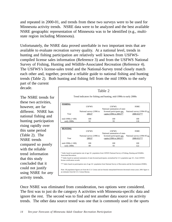and repeated in 2000-01, and trends from these two surveys were to be used for Minnesota activity trends. NSRE data were to be analyzed and the best available NSRE geographic representation of Minnesota was to be identified (e.g., multistate region including Minnesota).

Unfortunately, the NSRE data proved unreliable in two important tests that are available to evaluate recreation survey quality. At a national level, trends in hunting and fishing participation are relatively well known from USFWScompiled license sales information (Reference 3) and from the USFWS National Survey of Fishing, Hunting and Wildlife-Associated Recreation (Reference 4). The USFWS's license-sales trend and the National-Survey trend closely match each other and, together, provide a reliable guide to national fishing and hunting trends (Table 2). Both hunting and fishing fell from the mid 1990s to the early part of the current

decade.

The NSRE trends for these two activities, however, are far different. NSRE has national fishing and hunting participation rising rapidly over this same period (Table 2). The NSRE trends compared so poorly with the reliable trend information that this study concluded that it could not justify using NSRE for *any* activity trends.

*USFWS: USFWS: NSRE:* National survey (1996 to 2001)\* National summation of statelicensed participants per National survey (1994-95 to capita (1996 to 2001)\*\*  $2000-01$ <sup>\*\*\*</sup> mid-1990s (=100) 100 100 100 100 100 early 2000s 92 93 118 Trend indicators for fishing and hunting, mid-1990s to early 2000s Table 2

| <b>HUNTING</b>                 | USFWS:                   | USFWS:                                                                                                                                                                                                                                           | NSRE:                       |
|--------------------------------|--------------------------|--------------------------------------------------------------------------------------------------------------------------------------------------------------------------------------------------------------------------------------------------|-----------------------------|
|                                |                          | National summation of state-                                                                                                                                                                                                                     |                             |
|                                | National survey (1996 to | licensed participants per                                                                                                                                                                                                                        | National survey (1994-95 to |
| Year                           | $2001)*$                 | capita (1996 to 2001)**                                                                                                                                                                                                                          | $2000-01$ <sup>***</sup>    |
| mid-1990s $(=100)$             | 100                      | 100                                                                                                                                                                                                                                              | 100                         |
| early 2000s                    | 89                       | 93                                                                                                                                                                                                                                               | 122                         |
|                                |                          |                                                                                                                                                                                                                                                  |                             |
| Associated Recreation.         |                          | * Index based on participation rate of age 16+ population from USFWS National Survey of Fishing, Hunting and Wildlife-<br>** Index based on national summation of state-licensed participants, normalized by U.S. population age 16+, from USFWS |                             |
| license certification records. |                          |                                                                                                                                                                                                                                                  |                             |
|                                |                          | *** Index based on participation rate of age 16+ population from National Survey of Recreation and the Environment (NSRE).                                                                                                                       |                             |

Once NSRE was eliminated from consideration, two options were considered. The first was to just do the category A activities with Minnesota-specific data and ignore the rest. The second was to find and test another data source on activity trends. The other data source tested was one that is commonly used in the sports

 **FISHING**

Year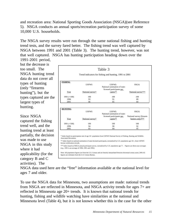and recreation area: National Sporting Goods Association (NSGA)(see Reference 5). NSGA conducts an annual sports/recreation participation survey of some 10,000 U.S. households.

The NSGA survey results were run through the same national fishing and hunting trend tests, and the survey fared better. The fishing trend was well captured by NSGA between 1991 and 2001 (Table 3). The hunting trend, however, was not that well captured. NSGA has hunting participation heading down over the 1991-2001 period,

but the decrease is too small. The NSGA hunting trend data do not cover all types of hunting (only "firearms hunting"), but the types captured are the largest types of hunting.

Since NSGA captured the fishing trend well, and the hunting trend at least partially, the decision was made to use NSGA in this study where it had applicability (for the category B and C activities). The

| <b>FISHING</b>        |                  |                                        |                                              |
|-----------------------|------------------|----------------------------------------|----------------------------------------------|
|                       | USFWS:           | USFWS:                                 | NSGA:                                        |
|                       |                  | National summation of state-           |                                              |
|                       |                  | licensed participants per              |                                              |
| Year                  | National survey* | $\frac{\text{capita}^{**}}{k}$         | National survey***                           |
| $1991 (=100)$         | 100              | 100                                    | 100                                          |
| 1996                  | 93               | 91                                     | 89                                           |
| 2001                  | 86               | 85                                     | 84                                           |
| <b>HUNTING</b>        |                  |                                        |                                              |
|                       | USFWS:           | USFWS:<br>National summation of state- | NSGA:                                        |
| Year                  | National survey* | licensed participants per<br>capita**  | National survey (firearm<br>hunters only)*** |
|                       |                  |                                        |                                              |
| $1991 (=100)$<br>1996 | 100<br>94        | 100<br>90                              | 100<br>92                                    |

Note: All population figures are from the U.S. Census and are linearly interpolated between decennial census years; 2001-02 figures are estimates from the U.S. Census Bureau.

NSGA data used here are the "free" information available at the national level for ages 7 and older.

To use the NSGA data for Minnesota, two assumptions are made: national trends from NSGA are reflected in Minnesota, and NSGA activity trends for ages 7+ are reflected in Minnesota age 20+ trends. It is known that national trends for hunting, fishing and wildlife watching have similarities at the national and Minnesota level (Table 4), but it is not known whether this is the case for the other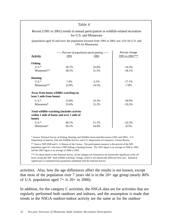|                                                                 |       | Recent (1991 to 2001) trends in annual participation in wildlife-related recreation<br>for U.S. and Minnesota                                                                                                 |                 |
|-----------------------------------------------------------------|-------|---------------------------------------------------------------------------------------------------------------------------------------------------------------------------------------------------------------|-----------------|
|                                                                 |       | (population aged 16 and over; the population increase from 1991 to 2001 was 12% for U.S. and<br>14% for Minnesota)                                                                                            |                 |
|                                                                 |       | ----- Percent of population participating -----                                                                                                                                                               | Percent change  |
| <b>Activity</b>                                                 | 1991  | 2001                                                                                                                                                                                                          | 1991 to 2001*** |
| <b>Fishing</b>                                                  |       |                                                                                                                                                                                                               |                 |
| $U.S.*$                                                         | 18.7% | 16.0%                                                                                                                                                                                                         | $-14.3%$        |
| Minnesota**                                                     | 38.5% | 31.5%                                                                                                                                                                                                         | $-18.1%$        |
| <b>Hunting</b>                                                  |       |                                                                                                                                                                                                               |                 |
| $U.S.*$                                                         | 7.4%  | 6.1%                                                                                                                                                                                                          | $-17.1%$        |
| Minnesota**                                                     | 15.8% | 14.5%                                                                                                                                                                                                         | $-7.8%$         |
| Away-from-home wildlife-watching (at<br>least 1 mile from home) |       |                                                                                                                                                                                                               |                 |
| $U.S.*$                                                         | 15.8% | 10.3%                                                                                                                                                                                                         | $-34.9%$        |
| Minnesota*                                                      | 23.6% | 15.2%                                                                                                                                                                                                         | $-35.5%$        |
| Total wildlife-watching (includes activity                      |       |                                                                                                                                                                                                               |                 |
| within 1 mile of home and over 1 mile of<br>home)               |       |                                                                                                                                                                                                               |                 |
| $U.S.*$                                                         | 40.1% | 31.1%                                                                                                                                                                                                         | $-22.3%$        |
| Minnesota*                                                      | 59.1% | 54.0%                                                                                                                                                                                                         | $-8.5%$         |
|                                                                 |       | * Source: National Survey of Fishing, Hunting, and Wildlife-Associated Recreation (1991 and 2001). U.S.<br>Department of Interior, Fish and Wildlife Service; and U.S. Department of Commerce, Census Bureau. |                 |

\*\*\* For those based on the National Survey, all the changes are estimated to be statistically significant at the .05 level, except the MN "total wildlife watching" change, which is not statistically different from zero. Statistical significance is estimated from parameters published with the National Survey.

activities. Also, how the age differences affect the results is not known, except that most of the population over 7 years old is in the 20+ age group (nearly 80% of U.S. population aged 7+ is 20+ in 2000).

In addition, for the category C activities, the NSGA data are for activities that are regularly performed both outdoors and indoors, and the assumption is made that trends in the NSGA outdoor-indoor activity are the same as for the outdoor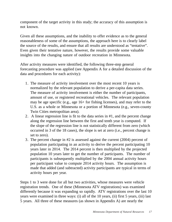component of the target activity in this study; the accuracy of this assumption is not known.

Given all these assumptions, and the inability to offer evidence as to the general reasonableness of some of the assumptions, the approach here is to clearly label the source of the results, and ensure that all results are understood as "tentative". Even given their tentative nature, however, the results provide some valuable insights into the changing nature of outdoor recreation in Minnesota.

After activity measures were identified, the following three-step general forecasting procedure was applied (see Appendix A for a detailed discussion of the data and procedures for each activity):

- 1. The measure of activity involvement over the most recent 10 years is normalized by the relevant population to derive a per-capita data series. The measure of activity involvement is either the number of participants, amount of use, or registered recreational vehicles. The relevant population may be age specific (e.g., age 16+ for fishing licenses), and may refer to the U.S. as a whole or Minnesota or a portion of Minnesota (e.g., seven-county Twin Cities metropolitan area).
- 2. A linear regression line is fit to the data series in #1, and the percent change along the regression line between the first and tenth year is computed. If the slope of the regression line is not statistically different from zero (which occurred in 3 of the 18 cases), the slope is set at zero (i.e., percent change is set to zero).
- 3. The percent change in #2 is assessed against the current (2004) percent of population participating in an activity to derive the percent participating 10 years later in 2014. The 2014 percent is then multiplied by the projected population 10 years later to get the number of participants. The number of participants is subsequently multiplied by the 2004 annual activity hours per participant value to compute 2014 activity hours. The assumption is made that added (and subtracted) activity participants are typical in terms of activity hours per year.

Steps 1 to 3 were done for all but two activities, whose measures were vehicle registration trends. One of these (Minnesota ATV registrations) was examined differently because it was expanding so rapidly. ATV registrations over the last 10 years were examined in three ways: (i) all of the 10 years, (ii) first 5 years, (iii) last 5 years. All three of these measures (as shown in Appendix A) are nearly the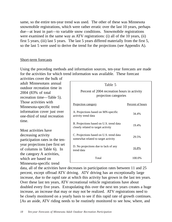same, so the entire ten-year trend was used. The other of these was Minnesota snowmobile registrations, which were rather erratic over the last 10 years, perhaps due—at least in part—to variable snow conditions. Snowmobile registrations were examined in the same way as ATV registrations: (i) all of the 10 years, (ii) first 5 years, (iii) last 5 years. The last 5 years differed materially from the first 5, so the last 5 were used to derive the trend for the projections (see Appendix A).

#### Short-term forecasts

Using the preceding methods and information sources, ten-year forecasts are made for the activities for which trend information was available. These forecast

activities cover the bulk of adult Minnesotans annual outdoor recreation time in 2004 (83% of total recreation time—Table 5). Those activities with Minnesota-specific trend information cover just over one-third of total recreation time.

Most activities have decreasing activity participation rates in the tenyear projections (see first set of columns in Table 6). In the category A activities, which are based on Minnesota-specific trend

| Table 5                                                                        |                         |
|--------------------------------------------------------------------------------|-------------------------|
| Percent of 2004 recreation hours in activity<br>projection categories          |                         |
| Projection category                                                            | <u>Percent</u> of hours |
| A. Projections based on MN-specific<br>activity trend data                     | 34.4%                   |
| B. Projections based on U.S. trend data<br>closely related to target activity  | 19.4%                   |
| C. Projections based on U.S. trend data<br>somewhat related to target activity | 29.5%                   |
| D. No projections due to lack of any<br>trend data                             | 16.8%                   |
| Total                                                                          | 100.0%                  |

data, all of the activities have decreases in participation rates between 11 and 25 percent, except offroad ATV driving. ATV driving has an exceptionally large increase, due to the rapid rate at which this activity has grown in the last ten years. Over these last ten years, ATV recreational vehicle registrations have about doubled every five years. Extrapolating this over the next ten years creates a huge increase, an increase that may or may not be realized. ATV registrations need to be closely monitored on a yearly basis to see if this rapid rate of growth continues. [As an aside, ATV riding needs to be routinely monitored to see how, where, and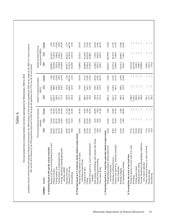Table 6

Ten-year projections of annual outdoor recreation participation by Minnesotans, 2004 to 2014 Ten-year projections of annual outdoor recreation participation by Minnesotans, 2004 to 2014

(population 20 years old and older participating in Minnesota and elsewhere; the 2004 setimates are derived from expanding the 2004 survey sample by the 2000 U.S. Census counts for<br>MN, and the 2014 estimates by the 2010 po (population 20 years old and older participating in Minnesota and elsewhere; the 2004 estimates are derived from expanding the 2004 survey sample by the 2000 U.S. Census counts for

| $1 + 1 + 1$<br>$\mathbf{1}$<br>$\bar{1}$<br>Change<br>L<br>- I<br>2.1%<br>33.1%<br>15.0%<br>$-36.5%$<br>15.0%<br>$-13.5%$<br>22.8%<br>-32.0%<br>1.8%<br>$-6.2%$<br>$-13.4%$<br>$-9.9%$<br>304.7%<br>$-4.3%$<br>$-29.3%$<br>$-13.2%$<br>15.0%<br>$-21.3%$<br>$-10.3%$<br>44.1%<br>2014<br>714.6<br>609.6<br>$1 + 1$<br>649.8<br>567.8<br>327.0<br>639.3<br>127.0<br>2,180.5<br>272.9<br>÷<br>÷<br>÷.<br>÷<br>1,258.9<br>988.3<br>638.5<br>942.7<br>360.3<br>1,230.4<br>481.3<br>ŧ<br>1,446.0<br>250.1<br>828.1<br>1,196.1<br>341.8<br>1,010.5<br>736.6<br>227.0<br>1,053.9<br>956.6<br>711.9<br>556.0<br>898.5<br>819.9<br>393.8<br>1,896.4<br>611.8<br>496.5<br>401.5<br>1,300.0<br>883.6<br>628.9<br>2004<br>1,237.3<br>357.3<br>1,422.7<br>1,245.3<br>313.4<br>721.1<br>302.1<br>157.1<br>146.2<br>642.1<br>$\left\vert \cdot\right\vert$<br>Change<br>÷<br>÷<br>÷<br>$-24.8%$<br>$6.8\%$<br>ŧ<br>J.<br>$-18.4%$<br>$-24.7%$<br>$-21.6%$<br>$-22.0%$<br>$-11.2%$<br>251.9%<br>$-16.8%$<br>$-38.5%$<br>$0.0\%$<br>-44.8%<br>0.0%<br>$0.0\%$<br>$-31.6%$<br>$-11.5%$<br>15.8%<br>$-40.9%$<br>$-24.5%$<br>$-51.4%$<br>2014<br>ł<br>÷<br>÷<br>÷<br>ŧ<br>17.8%<br>÷<br>J.<br>8.2%<br>23.5%<br>6.2%<br>3.2%<br>54.4%<br>30.7%<br>12.0%<br>6.8%<br>31.4%<br>24.7%<br>20.7%<br>16.2%<br>15.9%<br>14.2%<br>36.1%<br>29.9%<br>16.0%<br>9.0%<br>15.2%<br>2004<br>29.0%<br>$4.5\%$<br>$4.2\%$<br>23.5%<br>11.5%<br>35.7%<br>25.4%<br>8.7%<br>30.2%<br>27.5%<br>20.7%<br>16.0%<br>25.8%<br>21.1%<br>11.3%<br>9.0%<br>54.4%<br>40.8%<br>17.6%<br>14.2%<br>37.3%<br>18.4%<br>18.0%<br>35.5%<br>20.4%<br>10.3%<br>9.8%<br>6.5%<br>related to target activity<br>B. Projections based on U.S. trend data closely related to target activity<br>g, roller skiing<br>Viewing, identifying or photographing wildflowers,<br>Boating of all types, excluding fishing from a boat<br>Outdoor field sports (e.g., soccer, softball/baseball<br>Outdoor court sports (e.g., volleyball, basketball<br>a park<br>Walking/hiking (walking or hiking outdoors for<br>I foods<br>data<br>Viewing, identifying or photographing birds<br>Driving for pleasure on scenic roads or in<br>Inline skating, rollerblading, roller skatin<br>Gather mushrooms, berries, or other wild<br>A. Projections based on MN-specific activity trend<br>C. Projections based on U.S. trend data somewhat<br>Visiting historic or archaeological sites<br>Biking (bicycling outdoors of all types,<br>D. No projections due to lack of any trend data<br>Swimming or wading (all places)<br>Downhill skiing/snowboarding<br>including mountain biking)<br>Ice skating/hockey outdoors<br>trees, natural vegetation<br>Sledding and snow tubing<br>exercise or pleasure)<br>Visiting nature centers<br>tennis, horseshoes)<br>Visiting outdoor zoos<br>Offroad ATV driving<br>and other wildlife<br>Cross country skiing<br>Camping of all types<br>Hunting of all types<br>Running or jogging<br>Fishing of all types<br>Horseback riding<br>Snowmobiling<br>football)<br>Picnicking<br>Activity<br>Golfing<br>Category |             | Percent of population participating | annually |  | Number of annual participants<br>(000's) |                             | Number of annual hours of<br>participation (000's) |                       |
|------------------------------------------------------------------------------------------------------------------------------------------------------------------------------------------------------------------------------------------------------------------------------------------------------------------------------------------------------------------------------------------------------------------------------------------------------------------------------------------------------------------------------------------------------------------------------------------------------------------------------------------------------------------------------------------------------------------------------------------------------------------------------------------------------------------------------------------------------------------------------------------------------------------------------------------------------------------------------------------------------------------------------------------------------------------------------------------------------------------------------------------------------------------------------------------------------------------------------------------------------------------------------------------------------------------------------------------------------------------------------------------------------------------------------------------------------------------------------------------------------------------------------------------------------------------------------------------------------------------------------------------------------------------------------------------------------------------------------------------------------------------------------------------------------------------------------------------------------------------------------------------------------------------------------------------------------------------------------------------------------------------------------------------------------------------------------------------------------------------------------------------------------------------------------------------------------------------------------------------------------------------------------------------------------------------------------------------------------------------------------------------------------------------------------------------------------------------------------------------------------------------------------------------------------------------------------------------------------------------------------------------------------------------------------------------------------------------------------------------------------------------------------------------------------------------------------------------------------------------------------------------------------------------------------------------------------------------------------------------------------------------------------------------------------------------------------|-------------|-------------------------------------|----------|--|------------------------------------------|-----------------------------|----------------------------------------------------|-----------------------|
|                                                                                                                                                                                                                                                                                                                                                                                                                                                                                                                                                                                                                                                                                                                                                                                                                                                                                                                                                                                                                                                                                                                                                                                                                                                                                                                                                                                                                                                                                                                                                                                                                                                                                                                                                                                                                                                                                                                                                                                                                                                                                                                                                                                                                                                                                                                                                                                                                                                                                                                                                                                                                                                                                                                                                                                                                                                                                                                                                                                                                                                                              |             |                                     |          |  |                                          | <b>2004</b>                 | 2014                                               | Change                |
|                                                                                                                                                                                                                                                                                                                                                                                                                                                                                                                                                                                                                                                                                                                                                                                                                                                                                                                                                                                                                                                                                                                                                                                                                                                                                                                                                                                                                                                                                                                                                                                                                                                                                                                                                                                                                                                                                                                                                                                                                                                                                                                                                                                                                                                                                                                                                                                                                                                                                                                                                                                                                                                                                                                                                                                                                                                                                                                                                                                                                                                                              |             |                                     |          |  |                                          |                             |                                                    |                       |
|                                                                                                                                                                                                                                                                                                                                                                                                                                                                                                                                                                                                                                                                                                                                                                                                                                                                                                                                                                                                                                                                                                                                                                                                                                                                                                                                                                                                                                                                                                                                                                                                                                                                                                                                                                                                                                                                                                                                                                                                                                                                                                                                                                                                                                                                                                                                                                                                                                                                                                                                                                                                                                                                                                                                                                                                                                                                                                                                                                                                                                                                              |             |                                     |          |  |                                          | 58,099.7<br>76,239.8        | 59,118.5                                           | 1.8%                  |
|                                                                                                                                                                                                                                                                                                                                                                                                                                                                                                                                                                                                                                                                                                                                                                                                                                                                                                                                                                                                                                                                                                                                                                                                                                                                                                                                                                                                                                                                                                                                                                                                                                                                                                                                                                                                                                                                                                                                                                                                                                                                                                                                                                                                                                                                                                                                                                                                                                                                                                                                                                                                                                                                                                                                                                                                                                                                                                                                                                                                                                                                              |             |                                     |          |  |                                          |                             | 71,497.6                                           | $-6.2%$               |
|                                                                                                                                                                                                                                                                                                                                                                                                                                                                                                                                                                                                                                                                                                                                                                                                                                                                                                                                                                                                                                                                                                                                                                                                                                                                                                                                                                                                                                                                                                                                                                                                                                                                                                                                                                                                                                                                                                                                                                                                                                                                                                                                                                                                                                                                                                                                                                                                                                                                                                                                                                                                                                                                                                                                                                                                                                                                                                                                                                                                                                                                              |             |                                     |          |  |                                          | 5,822.6                     | 5,040.9                                            | $-13.4%$              |
|                                                                                                                                                                                                                                                                                                                                                                                                                                                                                                                                                                                                                                                                                                                                                                                                                                                                                                                                                                                                                                                                                                                                                                                                                                                                                                                                                                                                                                                                                                                                                                                                                                                                                                                                                                                                                                                                                                                                                                                                                                                                                                                                                                                                                                                                                                                                                                                                                                                                                                                                                                                                                                                                                                                                                                                                                                                                                                                                                                                                                                                                              |             |                                     |          |  |                                          | 6,198.6                     | 5,585.5                                            | $-9.9%$               |
|                                                                                                                                                                                                                                                                                                                                                                                                                                                                                                                                                                                                                                                                                                                                                                                                                                                                                                                                                                                                                                                                                                                                                                                                                                                                                                                                                                                                                                                                                                                                                                                                                                                                                                                                                                                                                                                                                                                                                                                                                                                                                                                                                                                                                                                                                                                                                                                                                                                                                                                                                                                                                                                                                                                                                                                                                                                                                                                                                                                                                                                                              |             |                                     |          |  |                                          | 41,266.8                    | 37,010.1                                           | $-10.3%$              |
|                                                                                                                                                                                                                                                                                                                                                                                                                                                                                                                                                                                                                                                                                                                                                                                                                                                                                                                                                                                                                                                                                                                                                                                                                                                                                                                                                                                                                                                                                                                                                                                                                                                                                                                                                                                                                                                                                                                                                                                                                                                                                                                                                                                                                                                                                                                                                                                                                                                                                                                                                                                                                                                                                                                                                                                                                                                                                                                                                                                                                                                                              |             |                                     |          |  |                                          | 48,187.7                    | 49,212.3                                           | 2.1%                  |
|                                                                                                                                                                                                                                                                                                                                                                                                                                                                                                                                                                                                                                                                                                                                                                                                                                                                                                                                                                                                                                                                                                                                                                                                                                                                                                                                                                                                                                                                                                                                                                                                                                                                                                                                                                                                                                                                                                                                                                                                                                                                                                                                                                                                                                                                                                                                                                                                                                                                                                                                                                                                                                                                                                                                                                                                                                                                                                                                                                                                                                                                              |             |                                     |          |  |                                          | 15,262.4                    | 61,762.0                                           | 304.7%                |
|                                                                                                                                                                                                                                                                                                                                                                                                                                                                                                                                                                                                                                                                                                                                                                                                                                                                                                                                                                                                                                                                                                                                                                                                                                                                                                                                                                                                                                                                                                                                                                                                                                                                                                                                                                                                                                                                                                                                                                                                                                                                                                                                                                                                                                                                                                                                                                                                                                                                                                                                                                                                                                                                                                                                                                                                                                                                                                                                                                                                                                                                              |             |                                     |          |  |                                          | 10,259.9                    | 9,817.0                                            | $-4.3%$               |
|                                                                                                                                                                                                                                                                                                                                                                                                                                                                                                                                                                                                                                                                                                                                                                                                                                                                                                                                                                                                                                                                                                                                                                                                                                                                                                                                                                                                                                                                                                                                                                                                                                                                                                                                                                                                                                                                                                                                                                                                                                                                                                                                                                                                                                                                                                                                                                                                                                                                                                                                                                                                                                                                                                                                                                                                                                                                                                                                                                                                                                                                              |             |                                     |          |  |                                          |                             |                                                    |                       |
|                                                                                                                                                                                                                                                                                                                                                                                                                                                                                                                                                                                                                                                                                                                                                                                                                                                                                                                                                                                                                                                                                                                                                                                                                                                                                                                                                                                                                                                                                                                                                                                                                                                                                                                                                                                                                                                                                                                                                                                                                                                                                                                                                                                                                                                                                                                                                                                                                                                                                                                                                                                                                                                                                                                                                                                                                                                                                                                                                                                                                                                                              |             |                                     |          |  |                                          | 31,889.8                    | 22,551.6                                           | $-29.3%$              |
|                                                                                                                                                                                                                                                                                                                                                                                                                                                                                                                                                                                                                                                                                                                                                                                                                                                                                                                                                                                                                                                                                                                                                                                                                                                                                                                                                                                                                                                                                                                                                                                                                                                                                                                                                                                                                                                                                                                                                                                                                                                                                                                                                                                                                                                                                                                                                                                                                                                                                                                                                                                                                                                                                                                                                                                                                                                                                                                                                                                                                                                                              |             |                                     |          |  |                                          |                             |                                                    |                       |
|                                                                                                                                                                                                                                                                                                                                                                                                                                                                                                                                                                                                                                                                                                                                                                                                                                                                                                                                                                                                                                                                                                                                                                                                                                                                                                                                                                                                                                                                                                                                                                                                                                                                                                                                                                                                                                                                                                                                                                                                                                                                                                                                                                                                                                                                                                                                                                                                                                                                                                                                                                                                                                                                                                                                                                                                                                                                                                                                                                                                                                                                              |             |                                     |          |  |                                          | 34,060.0<br>37,063.2        | 45,339.6                                           | 33.1%<br>15.0%        |
|                                                                                                                                                                                                                                                                                                                                                                                                                                                                                                                                                                                                                                                                                                                                                                                                                                                                                                                                                                                                                                                                                                                                                                                                                                                                                                                                                                                                                                                                                                                                                                                                                                                                                                                                                                                                                                                                                                                                                                                                                                                                                                                                                                                                                                                                                                                                                                                                                                                                                                                                                                                                                                                                                                                                                                                                                                                                                                                                                                                                                                                                              |             |                                     |          |  |                                          |                             | 42,615.8                                           |                       |
|                                                                                                                                                                                                                                                                                                                                                                                                                                                                                                                                                                                                                                                                                                                                                                                                                                                                                                                                                                                                                                                                                                                                                                                                                                                                                                                                                                                                                                                                                                                                                                                                                                                                                                                                                                                                                                                                                                                                                                                                                                                                                                                                                                                                                                                                                                                                                                                                                                                                                                                                                                                                                                                                                                                                                                                                                                                                                                                                                                                                                                                                              |             |                                     |          |  |                                          | 21,185.3                    | 18,388.2                                           | $-13.2%$              |
|                                                                                                                                                                                                                                                                                                                                                                                                                                                                                                                                                                                                                                                                                                                                                                                                                                                                                                                                                                                                                                                                                                                                                                                                                                                                                                                                                                                                                                                                                                                                                                                                                                                                                                                                                                                                                                                                                                                                                                                                                                                                                                                                                                                                                                                                                                                                                                                                                                                                                                                                                                                                                                                                                                                                                                                                                                                                                                                                                                                                                                                                              |             |                                     |          |  |                                          |                             |                                                    |                       |
|                                                                                                                                                                                                                                                                                                                                                                                                                                                                                                                                                                                                                                                                                                                                                                                                                                                                                                                                                                                                                                                                                                                                                                                                                                                                                                                                                                                                                                                                                                                                                                                                                                                                                                                                                                                                                                                                                                                                                                                                                                                                                                                                                                                                                                                                                                                                                                                                                                                                                                                                                                                                                                                                                                                                                                                                                                                                                                                                                                                                                                                                              |             |                                     |          |  |                                          | 11,384.3                    | 7,228.5                                            | $-36.5%$              |
|                                                                                                                                                                                                                                                                                                                                                                                                                                                                                                                                                                                                                                                                                                                                                                                                                                                                                                                                                                                                                                                                                                                                                                                                                                                                                                                                                                                                                                                                                                                                                                                                                                                                                                                                                                                                                                                                                                                                                                                                                                                                                                                                                                                                                                                                                                                                                                                                                                                                                                                                                                                                                                                                                                                                                                                                                                                                                                                                                                                                                                                                              |             |                                     |          |  |                                          |                             | 9,954.5                                            | 15.0%                 |
|                                                                                                                                                                                                                                                                                                                                                                                                                                                                                                                                                                                                                                                                                                                                                                                                                                                                                                                                                                                                                                                                                                                                                                                                                                                                                                                                                                                                                                                                                                                                                                                                                                                                                                                                                                                                                                                                                                                                                                                                                                                                                                                                                                                                                                                                                                                                                                                                                                                                                                                                                                                                                                                                                                                                                                                                                                                                                                                                                                                                                                                                              |             |                                     |          |  |                                          | 8,657.5<br>3,669.1          | 2,052.3                                            | 44.1%                 |
|                                                                                                                                                                                                                                                                                                                                                                                                                                                                                                                                                                                                                                                                                                                                                                                                                                                                                                                                                                                                                                                                                                                                                                                                                                                                                                                                                                                                                                                                                                                                                                                                                                                                                                                                                                                                                                                                                                                                                                                                                                                                                                                                                                                                                                                                                                                                                                                                                                                                                                                                                                                                                                                                                                                                                                                                                                                                                                                                                                                                                                                                              |             |                                     |          |  |                                          |                             |                                                    |                       |
|                                                                                                                                                                                                                                                                                                                                                                                                                                                                                                                                                                                                                                                                                                                                                                                                                                                                                                                                                                                                                                                                                                                                                                                                                                                                                                                                                                                                                                                                                                                                                                                                                                                                                                                                                                                                                                                                                                                                                                                                                                                                                                                                                                                                                                                                                                                                                                                                                                                                                                                                                                                                                                                                                                                                                                                                                                                                                                                                                                                                                                                                              |             |                                     |          |  |                                          | 129,654.7                   | 149,078.8                                          | 15.0%                 |
|                                                                                                                                                                                                                                                                                                                                                                                                                                                                                                                                                                                                                                                                                                                                                                                                                                                                                                                                                                                                                                                                                                                                                                                                                                                                                                                                                                                                                                                                                                                                                                                                                                                                                                                                                                                                                                                                                                                                                                                                                                                                                                                                                                                                                                                                                                                                                                                                                                                                                                                                                                                                                                                                                                                                                                                                                                                                                                                                                                                                                                                                              |             |                                     |          |  |                                          | 53,475.5                    | 46,247.8                                           | $-13.5%$              |
|                                                                                                                                                                                                                                                                                                                                                                                                                                                                                                                                                                                                                                                                                                                                                                                                                                                                                                                                                                                                                                                                                                                                                                                                                                                                                                                                                                                                                                                                                                                                                                                                                                                                                                                                                                                                                                                                                                                                                                                                                                                                                                                                                                                                                                                                                                                                                                                                                                                                                                                                                                                                                                                                                                                                                                                                                                                                                                                                                                                                                                                                              |             |                                     |          |  |                                          | 11,669.9                    | 9,180.9                                            | $-21.3%$              |
|                                                                                                                                                                                                                                                                                                                                                                                                                                                                                                                                                                                                                                                                                                                                                                                                                                                                                                                                                                                                                                                                                                                                                                                                                                                                                                                                                                                                                                                                                                                                                                                                                                                                                                                                                                                                                                                                                                                                                                                                                                                                                                                                                                                                                                                                                                                                                                                                                                                                                                                                                                                                                                                                                                                                                                                                                                                                                                                                                                                                                                                                              |             |                                     |          |  |                                          |                             |                                                    |                       |
|                                                                                                                                                                                                                                                                                                                                                                                                                                                                                                                                                                                                                                                                                                                                                                                                                                                                                                                                                                                                                                                                                                                                                                                                                                                                                                                                                                                                                                                                                                                                                                                                                                                                                                                                                                                                                                                                                                                                                                                                                                                                                                                                                                                                                                                                                                                                                                                                                                                                                                                                                                                                                                                                                                                                                                                                                                                                                                                                                                                                                                                                              |             |                                     |          |  |                                          | 24,331.5                    |                                                    | $22.8\%$<br>$-32.0\%$ |
|                                                                                                                                                                                                                                                                                                                                                                                                                                                                                                                                                                                                                                                                                                                                                                                                                                                                                                                                                                                                                                                                                                                                                                                                                                                                                                                                                                                                                                                                                                                                                                                                                                                                                                                                                                                                                                                                                                                                                                                                                                                                                                                                                                                                                                                                                                                                                                                                                                                                                                                                                                                                                                                                                                                                                                                                                                                                                                                                                                                                                                                                              |             |                                     |          |  |                                          | 4,918.7                     | 29,869.7<br>3,343.1                                |                       |
|                                                                                                                                                                                                                                                                                                                                                                                                                                                                                                                                                                                                                                                                                                                                                                                                                                                                                                                                                                                                                                                                                                                                                                                                                                                                                                                                                                                                                                                                                                                                                                                                                                                                                                                                                                                                                                                                                                                                                                                                                                                                                                                                                                                                                                                                                                                                                                                                                                                                                                                                                                                                                                                                                                                                                                                                                                                                                                                                                                                                                                                                              |             |                                     |          |  |                                          |                             |                                                    |                       |
|                                                                                                                                                                                                                                                                                                                                                                                                                                                                                                                                                                                                                                                                                                                                                                                                                                                                                                                                                                                                                                                                                                                                                                                                                                                                                                                                                                                                                                                                                                                                                                                                                                                                                                                                                                                                                                                                                                                                                                                                                                                                                                                                                                                                                                                                                                                                                                                                                                                                                                                                                                                                                                                                                                                                                                                                                                                                                                                                                                                                                                                                              |             |                                     |          |  |                                          | 33,472.8                    | ł                                                  |                       |
|                                                                                                                                                                                                                                                                                                                                                                                                                                                                                                                                                                                                                                                                                                                                                                                                                                                                                                                                                                                                                                                                                                                                                                                                                                                                                                                                                                                                                                                                                                                                                                                                                                                                                                                                                                                                                                                                                                                                                                                                                                                                                                                                                                                                                                                                                                                                                                                                                                                                                                                                                                                                                                                                                                                                                                                                                                                                                                                                                                                                                                                                              |             |                                     |          |  |                                          | 35,914.0                    | ŧ                                                  | ÷                     |
|                                                                                                                                                                                                                                                                                                                                                                                                                                                                                                                                                                                                                                                                                                                                                                                                                                                                                                                                                                                                                                                                                                                                                                                                                                                                                                                                                                                                                                                                                                                                                                                                                                                                                                                                                                                                                                                                                                                                                                                                                                                                                                                                                                                                                                                                                                                                                                                                                                                                                                                                                                                                                                                                                                                                                                                                                                                                                                                                                                                                                                                                              |             |                                     |          |  |                                          | 8,440.1                     | J.                                                 | ÷                     |
|                                                                                                                                                                                                                                                                                                                                                                                                                                                                                                                                                                                                                                                                                                                                                                                                                                                                                                                                                                                                                                                                                                                                                                                                                                                                                                                                                                                                                                                                                                                                                                                                                                                                                                                                                                                                                                                                                                                                                                                                                                                                                                                                                                                                                                                                                                                                                                                                                                                                                                                                                                                                                                                                                                                                                                                                                                                                                                                                                                                                                                                                              |             |                                     |          |  |                                          |                             | -l                                                 | ÷                     |
|                                                                                                                                                                                                                                                                                                                                                                                                                                                                                                                                                                                                                                                                                                                                                                                                                                                                                                                                                                                                                                                                                                                                                                                                                                                                                                                                                                                                                                                                                                                                                                                                                                                                                                                                                                                                                                                                                                                                                                                                                                                                                                                                                                                                                                                                                                                                                                                                                                                                                                                                                                                                                                                                                                                                                                                                                                                                                                                                                                                                                                                                              |             |                                     |          |  |                                          | 4,998.7<br>35,988.8         | - I                                                | - I                   |
|                                                                                                                                                                                                                                                                                                                                                                                                                                                                                                                                                                                                                                                                                                                                                                                                                                                                                                                                                                                                                                                                                                                                                                                                                                                                                                                                                                                                                                                                                                                                                                                                                                                                                                                                                                                                                                                                                                                                                                                                                                                                                                                                                                                                                                                                                                                                                                                                                                                                                                                                                                                                                                                                                                                                                                                                                                                                                                                                                                                                                                                                              |             |                                     |          |  |                                          |                             |                                                    |                       |
|                                                                                                                                                                                                                                                                                                                                                                                                                                                                                                                                                                                                                                                                                                                                                                                                                                                                                                                                                                                                                                                                                                                                                                                                                                                                                                                                                                                                                                                                                                                                                                                                                                                                                                                                                                                                                                                                                                                                                                                                                                                                                                                                                                                                                                                                                                                                                                                                                                                                                                                                                                                                                                                                                                                                                                                                                                                                                                                                                                                                                                                                              |             |                                     |          |  |                                          |                             | ÷                                                  | ŧ                     |
|                                                                                                                                                                                                                                                                                                                                                                                                                                                                                                                                                                                                                                                                                                                                                                                                                                                                                                                                                                                                                                                                                                                                                                                                                                                                                                                                                                                                                                                                                                                                                                                                                                                                                                                                                                                                                                                                                                                                                                                                                                                                                                                                                                                                                                                                                                                                                                                                                                                                                                                                                                                                                                                                                                                                                                                                                                                                                                                                                                                                                                                                              |             |                                     |          |  |                                          | 5,090.1<br>2,567.3<br>974.3 |                                                    |                       |
|                                                                                                                                                                                                                                                                                                                                                                                                                                                                                                                                                                                                                                                                                                                                                                                                                                                                                                                                                                                                                                                                                                                                                                                                                                                                                                                                                                                                                                                                                                                                                                                                                                                                                                                                                                                                                                                                                                                                                                                                                                                                                                                                                                                                                                                                                                                                                                                                                                                                                                                                                                                                                                                                                                                                                                                                                                                                                                                                                                                                                                                                              | Snowshoeing |                                     | - 1      |  |                                          |                             | $\mathbf{1}$                                       | $\mathbb{R}^n$        |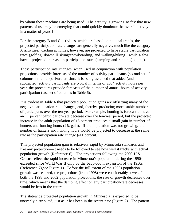by whom these machines are being used. The activity is growing so fast that new patterns of use may be emerging that could quickly dominate the overall activity in a matter of years.]

For the category B and C activities, which are based on national trends, the projected participation rate changes are generally negative, much like the category A activities. Certain activities, however, are projected to have stable participation rates (golfing, downhill skiing/snowboarding, and walking/hiking), while a few have a projected increase in participation rates (camping and running/jogging).

These participation rate changes, when used in conjunction with population projections, provide forecasts of the number of activity participants (second set of columns in Table 6). Further, since it is being assumed that added (and subtracted) activity participants are typical in terms of 2004 activity hours per year, the procedures provide forecasts of the number of annual hours of activity participation (last set of columns in Table 6).

It is evident in Table 6 that projected population gains are offsetting many of the negative participation rate changes, and, thereby, producing more stable numbers of participants over the ten-year period. For example, hunting is forecast to have an 11 percent participation-rate decrease over the ten-year period, but the projected increase in the adult population of 15 percent produces a small gain in number of hunters and hunting hours (2% gain). If the population was not growing, the number of hunters and hunting hours would be projected to decrease at the same rate as the participation rate change  $(-11)$  percent).

This projected population gain is relatively rapid by Minnesota standards and like any projection—it needs to be followed to see how well it tracks with actual population growth (Reference 6). The projections following the 2000 U.S. Census reflect the rapid increase in Minnesota's population during the 1990s, exceeded since World War II only by the baby-boom expansion of the 1950s (Reference 7)(see Figure 1). Before the full extent of the 1990s population growth was realized, the projections (from 1998) were considerably lower. In both the 1998 and 2002 population projections, the rate of growth decreases over time, which means that the damping effect on any participation-rate decreases would be less in the future.

The statewide projected population growth in Minnesota is expected to be unevenly distributed, just as it has been in the recent past (Figure 2). The pattern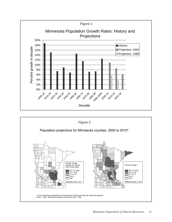

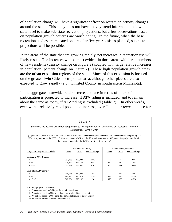of population change will have a significant effect on recreation activity changes around the state. This study does not have activity-trend information below the state level to make sub-state recreation projections, but a few observations based on population growth patterns are worth noting. In the future, when the base recreation studies are repeated on a regular five-year basis as planned, sub-state projections will be possible.

In the areas of the state that are growing rapidly, net increases in recreation use will likely result. The increases will be most evident in those areas with large numbers of new residents (density change on Figure 2) coupled with large relative increases in population (percent change on Figure 2). These high population growth areas are the urban expansion regions of the state. Much of this expansion is focused on the greater Twin Cities metropolitan area, although other places are also expected to grow rapidly (e.g., Olmsted County in southeastern Minnesota).

In the aggregate, statewide outdoor recreation use in terms of hours of participation is projected to increase, if ATV riding is included, and to remain about the same as today, if ATV riding is excluded (Table 7). In other words, even with a relatively rapid population increase, overall outdoor recreation use for

| (population 20 years old and older participating in Minnesota and elsewhere; the 2004 estimates are derived from expanding the |         |         | Minnesotans, 2004 to 2014                                     |      |      |                                            |
|--------------------------------------------------------------------------------------------------------------------------------|---------|---------|---------------------------------------------------------------|------|------|--------------------------------------------|
| 2004 survey sample by the 2000 U.S. Census counts for MN, and the 2014 estimates by the 2010 population projections for MN;    |         |         | the projected population rise is 15% over the 10-year period) |      |      |                                            |
|                                                                                                                                |         |         | ----------- Annual hours (000's) -----------                  |      |      | -------- Annual hours per capita --------- |
| Projection categories included*                                                                                                | 2004    | 2014    | Percent change                                                | 2004 | 2014 | Percent change                             |
| <b>Including ATV driving:</b>                                                                                                  |         |         |                                                               |      |      |                                            |
| A                                                                                                                              | 261,338 | 299,044 | 14%                                                           | 75   | 75   | 0%                                         |
| $A + B$                                                                                                                        | 409,247 | 447,175 | 9%                                                            | 117  | 112  | $-5%$                                      |
| $A+B+C$                                                                                                                        | 633,297 | 684,895 | 8%                                                            | 182  | 171  | $-6\%$                                     |
| <b>Excluding ATV driving:</b>                                                                                                  |         |         |                                                               |      |      |                                            |
| A                                                                                                                              | 246,075 | 237,282 | $-4%$                                                         | 71   | 59   | $-16%$                                     |
| $A + B$                                                                                                                        | 393,984 | 385,413 | $-2\%$                                                        | 113  | 96   | $-15%$                                     |
| $A+B+C$                                                                                                                        | 618,034 | 623.133 | 1%                                                            | 177  | 156  | $-12%$                                     |
| *Activity projection categories:                                                                                               |         |         |                                                               |      |      |                                            |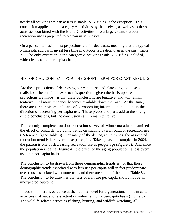nearly all activities we can assess is stable; ATV riding is the exception. This conclusion applies to the category A activities by themselves, as well as to the A activities combined with the B and C activities. To a large extent, outdoor recreation use is projected to plateau in Minnesota.

On a per-capita basis, most projections are for decreases, meaning that the typical Minnesota adult will invest less time in outdoor recreation than in the past (Table 7). The only exception is the category A activities with ATV riding included, which leads to no per-capita change.

## HISTORICAL CONTEXT FOR THE SHORT-TERM FORECAST RESULTS

Are these projections of decreasing per-capita use and plateauing total use at all realistic? The careful answer to this question—given the basis upon which the projections are made—is that these conclusions are tentative, and will remain tentative until move evidence becomes available down the road. At this time, there are further pieces and parts of corroborating information that point in the direction of decreasing per-capita use. These pieces and parts add to the strength of the conclusions, but the conclusions still remain tentative.

The recently completed outdoor recreation survey of Minnesota adults examined the effect of broad demographic trends on shaping overall outdoor recreation use (Reference 8)(see Table 8). For many of the demographic trends, the associated recreation trend is less overall use per capita. Take age as an example. In 2004, the pattern is one of decreasing recreation use as people age (Figure 3). And since the population is aging (Figure 4), the effect of the aging population is less overall use on a per-capita basis.

The conclusion to be drawn from these demographic trends is *not* that those demographic trends associated with less use per capita will in fact predominate over those associated with more use, and there are some of the latter (Table 8). The conclusion to be drawn is that less overall use per capita should not be an unexpected outcome.

In addition, there is evidence at the national level for a generational shift in certain activities that leads to less activity involvement on a per-capita basis (Figure 5). The wildlife-related activities (fishing, hunting, and wildlife-watching) all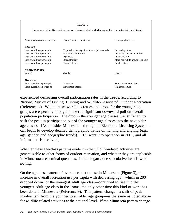|                                 | Table 8                                                                                     |                                |
|---------------------------------|---------------------------------------------------------------------------------------------|--------------------------------|
|                                 | Summary table: Recreation use trends associated with demographic characteristics and trends |                                |
| Associated recreation use trend | Demographic characteristic                                                                  | Demographic trend              |
| Less use                        |                                                                                             |                                |
| Less overall use per capita     | Population density of residence (urban-rural)                                               | Increasing urban               |
| Less overall use per capita     | Region of Minnesota                                                                         | Increasing metro area/urban    |
| Less overall use per capita     | Age class                                                                                   | Increasing age                 |
| Less overall use per capita     | Race/ethnicity                                                                              | More non-white and/or Hispanic |
| Less overall use per capita     | Household size                                                                              | Smaller sizes                  |
| No effect on use                |                                                                                             |                                |
| Neutral                         | Gender                                                                                      | Neutral                        |
| More use                        |                                                                                             |                                |
| More overall use per capita     | Education                                                                                   | More formal education          |
| More overall use per capita     | Household Income                                                                            | Higher incomes                 |

experienced decreasing overall participation rates in the 1990s, according to National Survey of Fishing, Hunting and Wildlife-Associated Outdoor Recreation (Reference 4). Within these overall decreases, the drops for the younger age groups are especially strong and exert a significant downward pull on overall population participation. The drop in the younger age classes was sufficient to shift the peak in participation out of the younger age classes into the next older age classes. [As an aside, Minnesota—through its Electronic Licensing System can begin to develop detailed demographic trends on hunting and angling (e.g., age, gender, and geographic trends). ELS went into operation in 2001, and all information is archived.]

Whether these age-class patterns evident in the wildlife-related activities are generalizable to other forms of outdoor recreation, and whether they are applicable in Minnesota are seminal questions. In this regard, one speculative item is worth noting.

On the age-class pattern of overall recreation use in Minnesota (Figure 3), the increase in overall recreation use per capita with decreasing age—which in 2004 dropped down for the youngest adult age class—continued to rise into the youngest adult age class in the 1980s, the only other time this kind of work has been done in Minnesota (Reference 9). This pattern change—a shift of peak involvement from the younger to an older age group—is the same as noted above for wildlife-related activities at the national level. If the Minnesota pattern change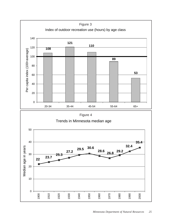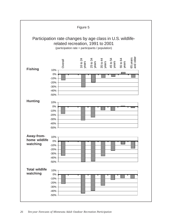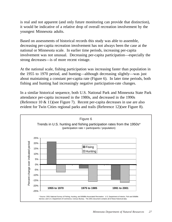is real and not apparent (and only future monitoring can provide that distinction), it would be indicative of a relative drop of overall recreation involvement by the youngest Minnesota adults.

Based on assessments of historical records this study was able to assemble, decreasing per-capita recreation involvement has not always been the case at the national or Minnesota scale. In earlier time periods, increasing per-capita involvement was not unusual. Decreasing per-capita participation—especially the strong decreases—is of more recent vintage.

At the national scale, fishing participation was increasing faster than population in the 1955 to 1970 period, and hunting—although decreasing slightly—was just about maintaining a constant per-capita rate (Figure 6). In later time periods, both fishing and hunting had increasingly negative participation-rate changes.

In a similar historical sequence, both U.S. National Park and Minnesota State Park attendance per-capita increased in the 1980s, and decreased in the 1990s (Reference 10 & 11)(see Figure 7). Recent per-capita decreases in use are also evident for Twin Cities regional parks and trails (Reference 12)(see Figure 8).

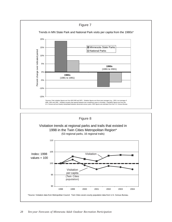

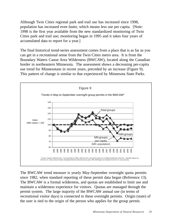Although Twin Cities regional park and trail use has increased since 1998, population has increased even faster, which means less use per capita. [Note: 1998 is the first year available from the new standardized monitoring of Twin Cities park and trail use; monitoring began in 1995 and it takes four years of accumulated data to report for a year.]

The final historical trend-series assessment comes from a place that is as far as you can get in a recreational sense from the Twin Cities metro area. It is from the Boundary Waters Canoe Area Wilderness (BWCAW), located along the Canadian border in northeastern Minnesota. The assessment shows a decreasing per-capita use trend for Minnesotans in recent years, preceded by an increase (Figure 9). This pattern of change is similar to that experienced by Minnesota State Parks.



The BWCAW trend measure is yearly May-September overnight quota permits since 1982, when standard reporting of these permit data began (Reference 13). The BWCAW is a formal wilderness, and quotas are established to limit use and maintain a wilderness experience for visitors. Quotas are managed through the permit system. The large majority of the BWCAW annual use (in terms of recreational visitor days) is connected to these overnight permits. Origin (state) of the user is tied to the origin of the person who applies for the group permit.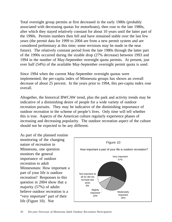Total overnight group permits at first decreased in the early 1980s (probably associated with decreasing quotas for motorboats), then rose to the late 1980s, after which they stayed relatively constant for about 10 years until the latter part of the 1990s. Permits numbers then fell and have remained stable over the last few years (the permit data for 1999 to 2004 are from a new permit system and are considered preliminary at this time; some revisions may be made in the near future). The relatively constant period from the late 1980s through the latter part of the 1990s occurred during the sizable drop (27% decrease) between 1993 and 1994 in the number of May-September overnight quota permits. At present, just over half (54%) of the available May-September overnight permit quota is used.

Since 1994 when the current May-September overnight quotas were implemented, the per-capita index of Minnesota groups has shown an overall decrease of about 25 percent. In the years prior to 1994, this per-capita index rose overall.

Altogether, the historical BWCAW trend, plus the park and activity trends may be indicative of a diminishing desire of people for a wide variety of outdoor recreation pursuits. They may be indicative of the diminishing importance of outdoor recreation in the scheme of people's lives. Only time will tell whether this is true. Aspects of the American culture regularly experience phases of increasing and decreasing popularity. The outdoor recreation aspect of the culture should not be expected to be any different.

As part of the planned routine monitoring of the changing nature of recreation in Minnesota, one question monitors the general importance of outdoor recreation to adult Minnesotans: How important a part of your life is outdoor recreation? Responses to this question in 2004 show that a majority (57%) of adults believe outdoor recreation is a "very important" part of their life (Figure 10). Not

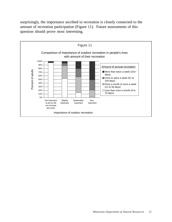surprisingly, the importance ascribed to recreation is closely connected to the amount of recreation participation (Figure 11). Future assessments of this question should prove most interesting.

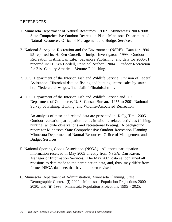#### REFERENCES

- 1. Minnesota Department of Natural Resources. 2002. Minnesota's 2003-2008 State Comprehensive Outdoor Recreation Plan. Minnesota Department of Natural Resources, Office of Management and Budget Services.
- 2. National Survey on Recreation and the Environment (NSRE). Data for 1994- 95 reported in: H. Ken Cordell, Principal Investigator. 1999. Outdoor Recreation in American Life. Sagamore Publishing; and data for 2000-01 reported in: H. Ken Cordell, Principal Author. 2004. Outdoor Recreation for 21st Century America. Venture Publishing.
- 3. U. S. Department of the Interior, Fish and Wildlife Service, Division of Federal Assistance. Historical data on fishing and hunting license sales by state: http://federalaid.fws.gov/financialinfo/finainfo.html .
- 4. U. S. Department of the Interior, Fish and Wildlife Service and U. S. Department of Commerce, U. S. Census Bureau. 1955 to 2001 National Survey of Fishing, Hunting, and Wildlife-Associated Recreation.

An analysis of these and related data are presented in: Kelly, Tim. 2005. Outdoor recreation participation trends in wildlife-related activities (fishing, hunting, wildlife observation) and recreational boating. A background report for Minnesota State Comprehensive Outdoor Recreation Planning. Minnesota Department of Natural Resources, Office of Management and Budget Services.

- 5. National Sporting Goods Association (NSGA). All sports participation information received in May 2005 directly from NSGA, Dan Kasen, Manager of Information Services. The May 2005 data set contained all revisions to date made to the participation data, and, thus, may differ from former NSGA data sets that have not been revised.
- 6. Minnesota Department of Administration, Minnesota Planning, State Demographic Center. (i) 2002. Minnesota Population Projections 2000 - 2030; and (ii) 1998. Minnesota Population Projections 1995 - 2025.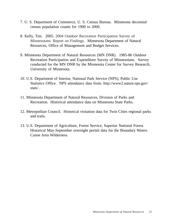- 7. U. S. Department of Commerce, U. S. Census Bureau. Minnesota decennial census population counts for 1900 to 2000.
- 8. Kelly, Tim. 2005. 2004 Outdoor Recreation Participation Survey of Minnesotans: Report on Findings. Minnesota Department of Natural Resources, Office of Management and Budget Services.
- 9. Minnesota Department of Natural Resources (MN DNR). 1985-86 Outdoor Recreation Participation and Expenditure Survey of Minnesotans. Survey conducted for the MN DNR by the Minnesota Center for Survey Research, University of Minnesota.
- 10. U.S. Department of Interior, National Park Service (NPS), Public Use Statistics Office. NPS attendance data from: http://www2.nature.nps.gov/ stats/ .
- 11. Minnesota Department of Natural Resources, Division of Parks and Recreation. Historical attendance data on Minnesota State Parks.
- 12. Metropolitan Council. Historical visitation data for Twin Cities regional parks and trails.
- 13. U.S. Department of Agriculture, Forest Service, Superior National Forest. Historical May-September overnight permit data for the Boundary Waters Canoe Area Wilderness.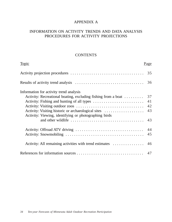## APPENDIX A

## INFORMATION ON ACTIVITY TRENDS AND DATA ANALYSIS PROCEDURES FOR ACTIVITY PROJECTIONS

#### **CONTENTS**

| Topic                                                         | <u>Page</u> |
|---------------------------------------------------------------|-------------|
|                                                               | 35          |
|                                                               | 36          |
| Information for activity trend analysis                       |             |
| Activity: Recreational boating, excluding fishing from a boat | 37          |
|                                                               | 41          |
|                                                               | 42          |
| Activity: Visiting historic or archaeological sites           | 43          |
| Activity: Viewing, identifying or photographing birds         |             |
|                                                               | 43          |
|                                                               |             |
|                                                               | 45          |
| Activity: All remaining activities with trend estimates       | 46          |
|                                                               |             |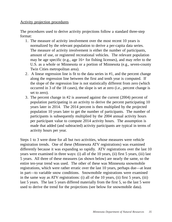## Activity projection procedures

The procedures used to derive activity projections follow a standard three-step format:

- 1. The measure of activity involvement over the most recent 10 years is normalized by the relevant population to derive a per-capita data series. The measure of activity involvement is either the number of participants, amount of use, or registered recreational vehicles. The relevant population may be age specific (e.g., age 16+ for fishing licenses), and may refer to the U.S. as a whole or Minnesota or a portion of Minnesota (e.g., seven-county Twin Cities metropolitan area).
- 2. A linear regression line is fit to the data series in #1, and the percent change along the regression line between the first and tenth year is computed. If the slope of the regression line is not statistically different from zero (which occurred in 3 of the 18 cases), the slope is set at zero (i.e., percent change is set to zero).
- 3. The percent change in #2 is assessed against the current (2004) percent of population participating in an activity to derive the percent participating 10 years later in 2014. The 2014 percent is then multiplied by the projected population 10 years later to get the number of participants. The number of participants is subsequently multiplied by the 2004 annual activity hours per participant value to compute 2014 activity hours. The assumption is made that added (and subtracted) activity participants are typical in terms of activity hours per year.

Steps 1 to 3 were done for all but two activities, whose measures were vehicle registration trends. One of these (Minnesota ATV registrations) was examined differently because it was expanding so rapidly. ATV registrations over the last 10 years were examined in three ways: (i) all of the 10 years, (ii) first 5 years, (iii) last 5 years. All three of these measures (as shown below) are nearly the same, so the entire ten-year trend was used. The other of these was Minnesota snowmobile registrations, which were rather erratic over the last 10 years, perhaps due—at least in part—to variable snow conditions. Snowmobile registrations were examined in the same way as ATV registrations: (i) all of the 10 years, (ii) first 5 years, (iii) last 5 years. The last 5 years differed materially from the first 5, so the last 5 were used to derive the trend for the projections (see below for snowmobile data).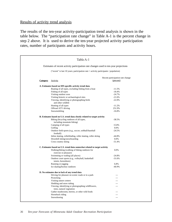#### Results of activity trend analysis

The results of the ten-year activity-participation trend analysis is shown in the table below. The "participation rate change" in Table A-1 is the percent change in step 2 above. It is used to derive the ten-year projected activity participation rates, number of participants and activity hours.

|                 | Table A-1                                                                            |                                  |
|-----------------|--------------------------------------------------------------------------------------|----------------------------------|
|                 | Estimates of recent activity participation rate changes used in ten-year projections |                                  |
|                 | ("recent" is last 10 years; participation rate = activity participants / population) |                                  |
|                 |                                                                                      | Recent participation rate change |
| <b>Category</b> | <b>Activity</b>                                                                      | (percent)                        |
|                 | A. Estimates based on MN-specific activity trend data                                |                                  |
|                 | Boating of all types, excluding fishing from a boat                                  | $-11.5%$                         |
|                 | Fishing of all types                                                                 | $-18.4%$                         |
|                 | Visiting outdoor zoos                                                                | $-24.7%$                         |
|                 | Visiting historic or archaeological sites                                            | $-21.6%$                         |
|                 | Viewing, identifying or photographing birds<br>and other wildlife                    | $-22.0%$                         |
|                 | Hunting of all types                                                                 | $-11.2%$                         |
|                 | Offroad ATV driving                                                                  | 251.9%                           |
|                 | Snowmobiling                                                                         | $-16.8%$                         |
|                 | B. Estimates based on U.S. trend data closely related to target activity             |                                  |
|                 | Biking (bicycling outdoors of all types,                                             | $-38.5%$                         |
|                 | including mountain biking)                                                           |                                  |
|                 | Camping of all types                                                                 | 15.8%                            |
|                 | Golfing                                                                              | 0.0%                             |
|                 | Outdoor field sports (e.g., soccer, softball/baseball                                | $-24.5%$                         |
|                 | football)                                                                            |                                  |
|                 | Inline skating, rollerblading, roller skating, roller skiing                         | $-44.8%$                         |
|                 | Downhill skiing/snowboarding                                                         | 0.0%                             |
|                 | Cross country skiing                                                                 | $-51.4%$                         |
|                 | C. Estimates based on U.S. trend data somewhat related to target activity            |                                  |
|                 | Walking/hiking (walking of hiking outdoors for<br>exercise or pleasure)              | 0.0%                             |
|                 | Swimming or wading (all places)                                                      | $-24.8%$                         |
|                 | Outdoor court sports (e.g., volleyball, basketball                                   | $-31.6%$                         |
|                 | tennis, horseshoes)                                                                  |                                  |
|                 | Running or jogging                                                                   | 6.8%                             |
|                 | Ice skating/hockey outdoors                                                          | $-40.9%$                         |
|                 | D. No estimates due to lack of any trend data                                        |                                  |
|                 | Driving for pleasure on scenic roads or in a park                                    |                                  |
|                 | Picnicking                                                                           |                                  |
|                 | Visiting nature centers                                                              |                                  |
|                 | Sledding and snow tubing                                                             |                                  |
|                 | Viewing, identifying or photographing wildflowers,                                   |                                  |
|                 | trees, natural vegetation                                                            |                                  |
|                 | Gather mushrooms, berries, or other wild foods                                       |                                  |
|                 | Horseback riding                                                                     |                                  |
|                 | Snowshoeing                                                                          |                                  |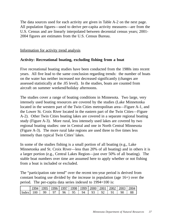The data sources used for each activity are given in Table A-2 on the next page. All population figures—used to derive per-capita activity measures—are from the U.S. Census and are linearly interpolated between decennial census years; 2001- 2004 figures are estimates from the U.S. Census Bureau.

Information for activity trend analysis

## **Activity: Recreational boating, excluding fishing from a boat**

Five recreational boating studies have been conducted from the 1980s into recent years. All five lead to the same conclusion regarding trends: the number of boats on the water has neither increased nor decreased significantly (changes are assessed statistically at the .05 level). In the studies, boats are counted from aircraft on summer weekend/holiday afternoons.

The studies cover a range of boating conditions in Minnesota. Two large, very intensely used boating resources are covered by the studies (Lake Minnetonka located in the western part of the Twin Cities metropolitan area—Figure A-1, and the Lower St. Croix River located in the eastern part of the Twin Cities—Figure A-2). Other Twin Cities boating lakes are covered in a separate regional boating study (Figure A-3). More rural, less intensely used lakes are covered by two regional boating studies: one in Central and one in North Central Minnesota (Figure A-3). The more rural lake regions are used three to five times less intensely than typical Twin Cities' lakes.

In some of the studies fishing is a small portion of all boating (e.g., Lake Minnetonka and St. Croix River—less than 20% of all boating) and in others it is a larger portion (e.g., Central Lakes Region—just over 50% of all boating). The stable boat numbers over time are assumed here to apply whether or not fishing from a boat is included or excluded.

The "participation rate trend" over the recent ten-year period is derived from constant boating use divided by the increase in population (age 16+) over the period. The per-capita data series indexed to 1994=100 is:

|       | $\overline{QQ}$ | 995 | 1996 | 1997 | 1998 <sub>1</sub> | 1999 | 2000 | 2001 | 2002 | 2003 | 2004 |
|-------|-----------------|-----|------|------|-------------------|------|------|------|------|------|------|
| Index | 100             | QQ  |      |      | ر .               | 94   |      |      |      |      | 88   |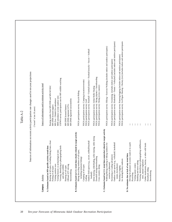|                                                                                                                             | Table A-2                                                                                                                        |
|-----------------------------------------------------------------------------------------------------------------------------|----------------------------------------------------------------------------------------------------------------------------------|
|                                                                                                                             | Sources of information on recent activity participation rate changes used in ten-year projections<br>("recent" is last 10 years) |
| Activity<br>Category                                                                                                        | Source of information used to estimate activity trend                                                                            |
| Boating of all types, excluding fishing from a boat<br>A. Estimates based on MN-specific activity trend data                | Boating studies from MN DNR and MN-WI BAC                                                                                        |
| Fishing of all types                                                                                                        | MN DNR licensed anglers                                                                                                          |
| Visiting outdoor zoos                                                                                                       | MN Zoo + Duluth Zoo attendance                                                                                                   |
| Viewing, identifying or photographing birds<br>Visiting historic or archaeological sites                                    | USFWS survey participation rate for MN wildlife watching<br>MHS attendance at nine outdoor sites                                 |
| and other wildlife                                                                                                          |                                                                                                                                  |
| Hunting of all types                                                                                                        | MN DNR licensed hunters                                                                                                          |
| Offroad ATV driving<br>Snowmobiling                                                                                         | MN DNR registered snowmobiles<br>MN DNR registered ATVs                                                                          |
| to target activity<br>B. Estimates based on U.S. trend data closely related                                                 |                                                                                                                                  |
| Biking (bicycling outdoors of all types,<br>including mountain biking)                                                      | NSGA participation survey: Bicycle Riding                                                                                        |
| Camping of all types                                                                                                        | NSGA participation survey: Camping (vacation/overnite)                                                                           |
| Golfing                                                                                                                     | NSGA participation survey: Golf                                                                                                  |
| Outdoor field sports (e.g., soccer, softball/baseball<br>football)                                                          | NSGA participation survey: Baseball + Football (tackle) + Football (touch) + Soccer + Softball                                   |
| roller skiing<br>Inline skating, rollerblading, roller skating,                                                             | NSGA participation survey: Inline Roller Skating                                                                                 |
| Downhill skiing/snowboarding                                                                                                | NSGA participation survey: Skiing (alpine) + Snowboarding                                                                        |
| Cross country skiing                                                                                                        | NSGA participation survey: Skiing (cross country)                                                                                |
| C. Estimates based on U.S. trend data somewhat related to target activity<br>Walking/hiking (walking or hiking outdoors for | NSGA participation survey: Hiking + Exercise Walking (includes indoor and outdoor participants)                                  |
| exercise or pleasure)                                                                                                       |                                                                                                                                  |
| Swimming or wading (all places)                                                                                             | NSGA participation survey: Swimming (includes indoor and outdoor participants)                                                   |
| Outdoor court sports (e.g., volleyball, basketball<br>tennis, horseshoes)                                                   | NSGA participation survey: Basketball + Tennis + Volleyball (includes indoor and outdoor participants)                           |
| Running or jogging                                                                                                          | NSGA participation survey: Running/Jogging (includes indoor and outdoor participants)                                            |
| Ice skating/hockey outdoors                                                                                                 | NSGA participation survey: Ice/Figure Skating + Hockey (ice) (includes indoor and outdoor participants                           |
| D. No estimates due to lack of any trend data                                                                               |                                                                                                                                  |
| park<br>Driving for pleasure on scenic roads or in a                                                                        |                                                                                                                                  |
| Picnicking                                                                                                                  |                                                                                                                                  |
| Visiting nature centers                                                                                                     | $\mathbf{1}$                                                                                                                     |
| Sledding and snow tubing                                                                                                    | ÷                                                                                                                                |
| Viewing, identifying or photographing wildflowers,                                                                          | - 1                                                                                                                              |
| trees, natural vegetation                                                                                                   |                                                                                                                                  |
| Gather mushrooms, berries, or other wild foods                                                                              |                                                                                                                                  |
| Horseback riding<br>Snowshoeing                                                                                             |                                                                                                                                  |
|                                                                                                                             |                                                                                                                                  |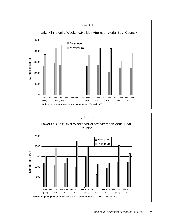

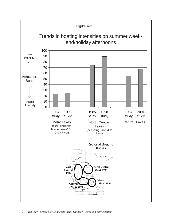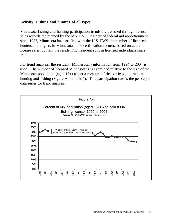## **Activity: Fishing and hunting of all types**

Minnesota fishing and hunting participation trends are assessed through license sales records maintained by the MN DNR. As part of federal aid apportionment since 1957, Minnesota has certified with the U.S. FWS the number of licensed hunters and anglers in Minnesota. The certification records, based on actual license sales, contain the resident/nonresident split in licensed individuals since 1969.

For trend analysis, the resident (Minnesotan) information from 1994 to 2004 is used. The number of licensed Minnesotans is examined relative to the size of the Minnesota population (aged 16+) to get a measure of the participation rate in hunting and fishing (Figure A-4 and A-5). This participation rate is the per-capita data series for trend analysis.

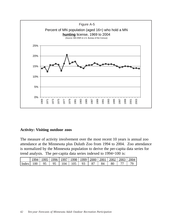

#### **Activity: Visiting outdoor zoos**

The measure of activity involvement over the most recent 10 years is annual zoo attendance at the Minnesota plus Duluth Zoo from 1994 to 2004. Zoo attendance is normalized by the Minnesota population to derive the per-capita data series for trend analysis. The per-capita data series indexed to 1994=100 is:

|       | 1994 | 1 QQ5 I |    | 1996   1997   1998   1999   2000   2001   2002   2003   2 |  |  |  | 2004 |
|-------|------|---------|----|-----------------------------------------------------------|--|--|--|------|
| Index | 100  | 95      | 95 | 104                                                       |  |  |  |      |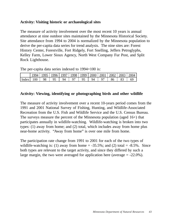## **Activity: Visiting historic or archaeological sites**

The measure of activity involvement over the most recent 10 years is annual attendance at nine outdoor sites maintained by the Minnesota Historical Society. Site attendance from 1994 to 2004 is normalized by the Minnesota population to derive the per-capita data series for trend analysis. The nine sites are: Forest History Center, Forestville, Fort Ridgely, Fort Snelling, Jeffers Petroglyphs, Kelley Farm, Lower Sioux Agency, North West Company Fur Post, and Split Rock Lighthouse.

The per-capita data series indexed to 1994=100 is:

|       | 99 <sub>4</sub> | 005 | 1996 | $1997 \mid$ | 1998 | 1999   2000   2001 |    | 2002 | 2003 | 2004 |
|-------|-----------------|-----|------|-------------|------|--------------------|----|------|------|------|
| Index | 100             | 98  |      | 94          |      |                    | 94 | ХR   |      | 69   |

## **Activity: Viewing, identifying or photographing birds and other wildlife**

The measure of activity involvement over a recent 10-years period comes from the 1991 and 2001 National Survey of Fishing, Hunting, and Wildlife-Associated Recreation from the U.S. Fish and Wildlife Service and the U.S. Census Bureau. The surveys measure the percent of the Minnesota population (aged 16+) that participates annually in wildlife-watching. Wildlife-watching is broken into two types: (1) away from home; and (2) total, which includes away from home plus near-home activity. "Away from home" is over one mile from home.

The participation rate change from 1991 to 2001 for each of the two types of wildlife-watching is: (1) away from home  $= -35.5\%$ ; and (2) total  $= -8.5\%$ . Since both types are relevant to the target activity, and since they differed by such a large margin, the two were averaged for application here (average  $= -22.0\%$ ).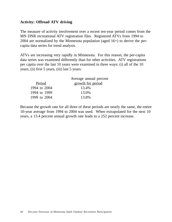## **Activity: Offroad ATV driving**

The measure of activity involvement over a recent ten-year period comes from the MN DNR recreational ATV registration files. Registered ATVs from 1994 to 2004 are normalized by the Minnesota population (aged 16+) to derive the percapita data series for trend analysis.

ATVs are increasing very rapidly in Minnesota. For this reason, the per-capita data series was examined differently than for other activities. ATV registrations per capita over the last 10 years were examined in three ways: (i) all of the 10 years, (ii) first 5 years, (iii) last 5 years:

| Average annual percent |
|------------------------|
| growth for period      |
| 13.4%                  |
| 13.0%                  |
| 13.8%                  |
|                        |

Because the growth rate for all three of these periods are nearly the same, the entire 10-year average from 1994 to 2004 was used. When extrapolated for the next 10 years, a 13.4 percent annual growth rate leads to a 252 percent increase.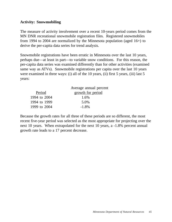## **Activity: Snowmobiling**

The measure of activity involvement over a recent 10-years period comes from the MN DNR recreational snowmobile registration files. Registered snowmobiles from 1994 to 2004 are normalized by the Minnesota population (aged 16+) to derive the per-capita data series for trend analysis.

Snowmobile registrations have been erratic in Minnesota over the last 10 years, perhaps due—at least in part—to variable snow conditions. For this reason, the per-capita data series was examined differently than for other activities (examined same way as ATVs). Snowmobile registrations per capita over the last 10 years were examined in three ways: (i) all of the 10 years, (ii) first 5 years, (iii) last 5 years:

|              | Average annual percent |
|--------------|------------------------|
| Period       | growth for period      |
| 1994 to 2004 | 1.6%                   |
| 1994 to 1999 | 5.0%                   |
| 1999 to 2004 | $-1.8\%$               |
|              |                        |

Because the growth rates for all three of these periods are so different, the most recent five-year period was selected as the most appropriate for projecting over the next 10 years. When extrapolated for the next 10 years, a -1.8% percent annual growth rate leads to a 17 percent decrease.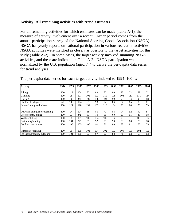## **Activity: All remaining activities with trend estimates**

For all remaining activities for which estimates can be made (Table A-1), the measure of activity involvement over a recent 10-year period comes from the annual participation survey of the National Sporting Goods Association (NSGA). NSGA has yearly reports on national participation in various recreation activities. NSGA activities were matched as closely as possible to the target activities for this study (Table A-2). In some cases, the target activity involved summing NSGA activities, and these are indicated in Table A-2. NSGA participation was normalized by the U.S. population (aged 7+) to derive the per-capita data series for trend analyses.

| <b>Activity</b>              | 1994 | 1995 | 1996 | 1997 | 1998 | 1999 | 2000 | 2001 | 2002 | 2003 | 2004 |
|------------------------------|------|------|------|------|------|------|------|------|------|------|------|
|                              |      |      |      |      |      |      |      |      |      |      |      |
| <b>Biking</b>                | 100  | 112  | 104  | 87   | 83   | 80   | 80   | 72   | 72   | 69   | 72   |
| Camping                      | 100  | 98   | 101  | 105  | 103  | 110  | 108  | 104  | 117  | 111  | 114  |
| Golfing                      | 100  | 96   | 91   | 102  | 106  | 103  | 99   | 99   | 100  | 93   | 88   |
| Outdoor field sports         | nd   | 100  | 104  | 95   | 93   | 92   | 86   | 84   | 85   | 80   | 81   |
| Inline skating, and related  | 100  | 121  | 128  | 131  | 132  | 116  | 104  | 90   | 88   | 73   | 53   |
|                              |      |      |      |      |      |      |      |      |      |      |      |
| Downhill skiing/snowboarding | 100  | 94   | 104  | 88   | 85   | 79   | 86   | 94   | 92   | 92   | 87   |
| Cross country skiing         | 100  | 93   | 92   | 67   | 70   | 58   | 60   | 59   | 55   | 48   | 58   |
| Walking/hiking               | 100  | 98   | 101  | 105  | 104  | 106  | 102  | 99   | 103  | 101  | 104  |
| Swimming/wading              | 100  | 101  | 97   | 95   | 92   | 90   | 90   | 83   | 80   | 78   | 78   |
| Outdoor court sports         | 100  | 105  | 105  | 100  | 92   | 86   | 80   | 82   | 81   | 75   | 75   |
|                              |      |      |      |      |      |      |      |      |      |      |      |
| Running or jogging           | 100  | 99   | 105  | 101  | 104  | 102  | 103  | 109  | 109  | 104  | 106  |
| Ice skating/hockey outdoors  | 100  | 101  | 105  | 97   | 97   | 92   | 83   | 71   | nd   | 65   | nd   |

The per-capita data series for each target activity indexed to 1994=100 is: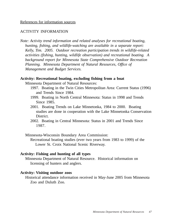## ACTIVITY INFORMATION

*Note: Activity trend information and related analyses for recreational boating, hunitng, fishing, and wildlife-watching are available in a separate report: Kelly, Tim. 2005. Outdoor recreation participation trends in wildlife-related activities (fishing, hunting, wildlife observation) and recreational boating. A background report for Minnesota State Comprehensive Outdoor Recreation Planning. Minnesota Department of Natural Resources, Office of Management and Budget Services.*

#### **Activity: Recreational boating, excluding fishing from a boat**

Minnesota Department of Natural Resources:

- 1997. Boating in the Twin Cities Metropolitan Area: Current Status (1996) and Trends Since 1984.
- 1999. Boating in North Central Minnesota: Status in 1998 and Trends Since 1985.
- 2001. Boating Trends on Lake Minnetonka, 1984 to 2000. Boating studies are done in cooperation with the Lake Minnetonka Conservation District.
- 2002. Boating in Central Minnesota: Status in 2001 and Trends Since 1987.

Minnesota-Wisconsin Boundary Area Commission:

Recreational boating studies (ever two years from 1983 to 1999) of the Lower St. Croix National Scenic Riverway.

#### **Activity: Fishing and hunting of all types**

Minnesota Department of Natural Resource. Historical information on licensing of hunters and anglers.

#### **Activity: Visiting outdoor zoos**

Historical attendance information received in May-June 2005 from Minnesota Zoo and Duluth Zoo.